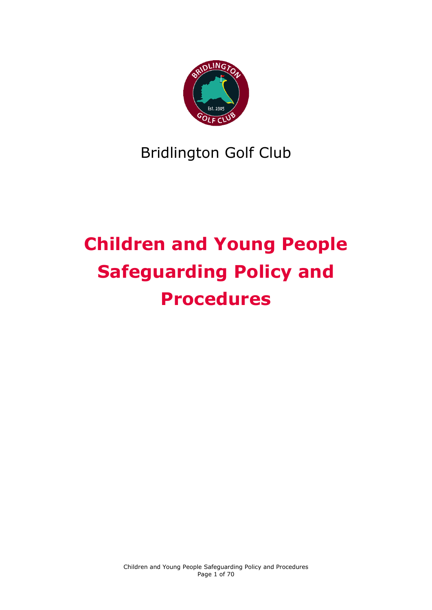

## Bridlington Golf Club

# **Children and Young People Safeguarding Policy and Procedures**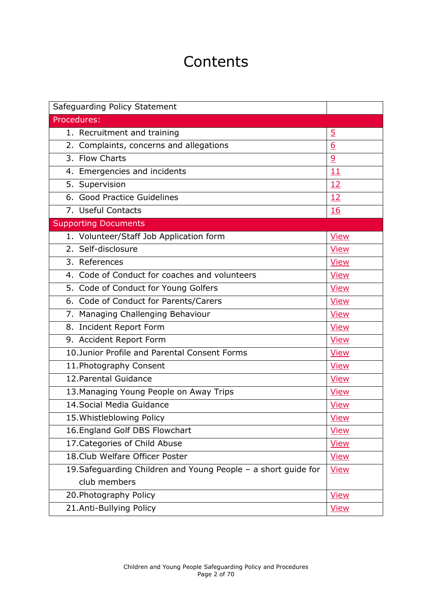## **Contents**

| Safeguarding Policy Statement                                  |                |
|----------------------------------------------------------------|----------------|
| Procedures:                                                    |                |
| 1. Recruitment and training                                    | $\overline{5}$ |
| 2. Complaints, concerns and allegations                        | 6              |
| 3. Flow Charts                                                 | $\overline{6}$ |
| 4. Emergencies and incidents                                   | 11             |
| 5. Supervision                                                 | 12             |
| 6. Good Practice Guidelines                                    | 12             |
| 7. Useful Contacts                                             | <b>16</b>      |
| <b>Supporting Documents</b>                                    |                |
| 1. Volunteer/Staff Job Application form                        | <b>View</b>    |
| 2. Self-disclosure                                             | <b>View</b>    |
| 3. References                                                  | <b>View</b>    |
| 4. Code of Conduct for coaches and volunteers                  | <b>View</b>    |
| 5. Code of Conduct for Young Golfers                           | <b>View</b>    |
| 6. Code of Conduct for Parents/Carers                          | <b>View</b>    |
| 7. Managing Challenging Behaviour                              | <b>View</b>    |
| 8. Incident Report Form                                        | <b>View</b>    |
| 9. Accident Report Form                                        | <b>View</b>    |
| 10. Junior Profile and Parental Consent Forms                  | <b>View</b>    |
| 11. Photography Consent                                        | <b>View</b>    |
| 12. Parental Guidance                                          | <b>View</b>    |
| 13. Managing Young People on Away Trips                        | <b>View</b>    |
| 14. Social Media Guidance                                      | <b>View</b>    |
| 15. Whistleblowing Policy                                      | <b>View</b>    |
| 16. England Golf DBS Flowchart                                 | <b>View</b>    |
| 17. Categories of Child Abuse                                  | <b>View</b>    |
| 18. Club Welfare Officer Poster                                | <b>View</b>    |
| 19. Safeguarding Children and Young People - a short guide for | <b>View</b>    |
| club members                                                   |                |
| 20. Photography Policy                                         | <b>View</b>    |
| 21.Anti-Bullying Policy                                        | View           |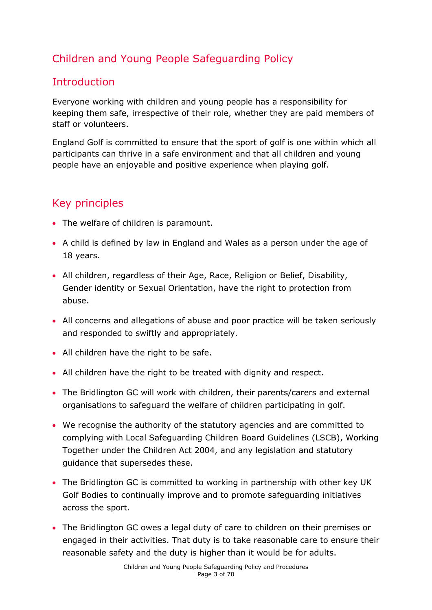## Children and Young People Safeguarding Policy

## **Introduction**

Everyone working with children and young people has a responsibility for keeping them safe, irrespective of their role, whether they are paid members of staff or volunteers.

England Golf is committed to ensure that the sport of golf is one within which all participants can thrive in a safe environment and that all children and young people have an enjoyable and positive experience when playing golf.

## Key principles

- The welfare of children is paramount.
- A child is defined by law in England and Wales as a person under the age of 18 years.
- All children, regardless of their Age, Race, Religion or Belief, Disability, Gender identity or Sexual Orientation, have the right to protection from abuse.
- All concerns and allegations of abuse and poor practice will be taken seriously and responded to swiftly and appropriately.
- All children have the right to be safe.
- All children have the right to be treated with dignity and respect.
- The Bridlington GC will work with children, their parents/carers and external organisations to safeguard the welfare of children participating in golf.
- We recognise the authority of the statutory agencies and are committed to complying with Local Safeguarding Children Board Guidelines (LSCB), Working Together under the Children Act 2004, and any legislation and statutory guidance that supersedes these.
- The Bridlington GC is committed to working in partnership with other key UK Golf Bodies to continually improve and to promote safeguarding initiatives across the sport.
- The Bridlington GC owes a legal duty of care to children on their premises or engaged in their activities. That duty is to take reasonable care to ensure their reasonable safety and the duty is higher than it would be for adults.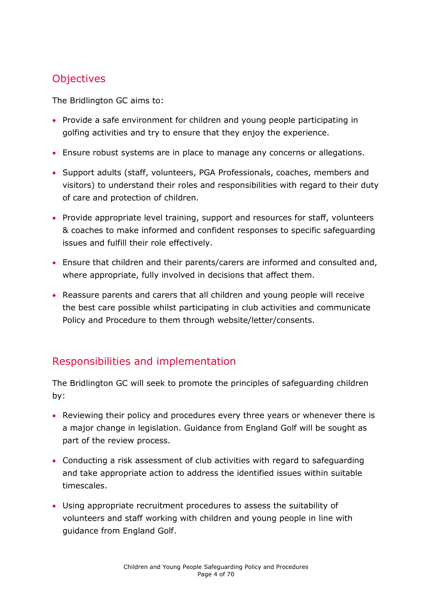## **Objectives**

The Bridlington GC aims to:

- Provide a safe environment for children and young people participating in golfing activities and try to ensure that they enjoy the experience.
- Ensure robust systems are in place to manage any concerns or allegations.
- Support adults (staff, volunteers, PGA Professionals, coaches, members and visitors) to understand their roles and responsibilities with regard to their duty of care and protection of children.
- Provide appropriate level training, support and resources for staff, volunteers & coaches to make informed and confident responses to specific safeguarding issues and fulfill their role effectively.
- Ensure that children and their parents/carers are informed and consulted and, where appropriate, fully involved in decisions that affect them.
- Reassure parents and carers that all children and young people will receive the best care possible whilst participating in club activities and communicate Policy and Procedure to them through website/letter/consents.

## Responsibilities and implementation

The Bridlington GC will seek to promote the principles of safeguarding children by:

- Reviewing their policy and procedures every three years or whenever there is a major change in legislation. Guidance from England Golf will be sought as part of the review process.
- Conducting a risk assessment of club activities with regard to safeguarding and take appropriate action to address the identified issues within suitable timescales.
- Using appropriate recruitment procedures to assess the suitability of volunteers and staff working with children and young people in line with guidance from England Golf.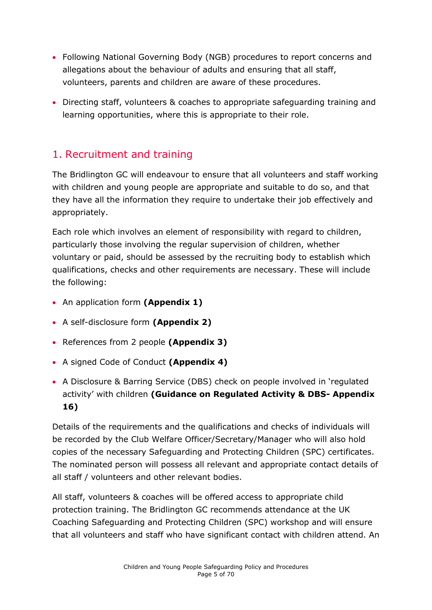- Following National Governing Body (NGB) procedures to report concerns and allegations about the behaviour of adults and ensuring that all staff, volunteers, parents and children are aware of these procedures.
- Directing staff, volunteers & coaches to appropriate safeguarding training and learning opportunities, where this is appropriate to their role.

## <span id="page-4-0"></span>1. Recruitment and training

The Bridlington GC will endeavour to ensure that all volunteers and staff working with children and young people are appropriate and suitable to do so, and that they have all the information they require to undertake their job effectively and appropriately.

Each role which involves an element of responsibility with regard to children, particularly those involving the regular supervision of children, whether voluntary or paid, should be assessed by the recruiting body to establish which qualifications, checks and other requirements are necessary. These will include the following:

- An application form **(Appendix 1)**
- A self-disclosure form **(Appendix 2)**
- References from 2 people **(Appendix 3)**
- A signed Code of Conduct **(Appendix 4)**
- A Disclosure & Barring Service (DBS) check on people involved in 'regulated activity' with children **(Guidance on Regulated Activity & DBS- Appendix 16)**

Details of the requirements and the qualifications and checks of individuals will be recorded by the Club Welfare Officer/Secretary/Manager who will also hold copies of the necessary Safeguarding and Protecting Children (SPC) certificates. The nominated person will possess all relevant and appropriate contact details of all staff / volunteers and other relevant bodies.

All staff, volunteers & coaches will be offered access to appropriate child protection training. The Bridlington GC recommends attendance at the UK Coaching Safeguarding and Protecting Children (SPC) workshop and will ensure that all volunteers and staff who have significant contact with children attend. An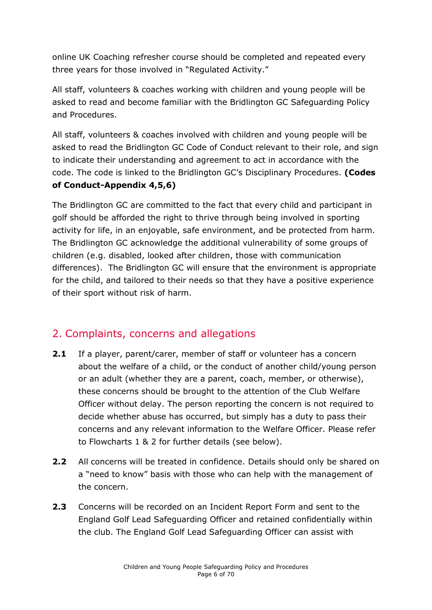online UK Coaching refresher course should be completed and repeated every three years for those involved in "Regulated Activity."

All staff, volunteers & coaches working with children and young people will be asked to read and become familiar with the Bridlington GC Safeguarding Policy and Procedures.

All staff, volunteers & coaches involved with children and young people will be asked to read the Bridlington GC Code of Conduct relevant to their role, and sign to indicate their understanding and agreement to act in accordance with the code. The code is linked to the Bridlington GC's Disciplinary Procedures. **(Codes of Conduct-Appendix 4,5,6)**

The Bridlington GC are committed to the fact that every child and participant in golf should be afforded the right to thrive through being involved in sporting activity for life, in an enjoyable, safe environment, and be protected from harm. The Bridlington GC acknowledge the additional vulnerability of some groups of children (e.g. disabled, looked after children, those with communication differences). The Bridlington GC will ensure that the environment is appropriate for the child, and tailored to their needs so that they have a positive experience of their sport without risk of harm.

## <span id="page-5-0"></span>2. Complaints, concerns and allegations

- **2.1** If a player, parent/carer, member of staff or volunteer has a concern about the welfare of a child, or the conduct of another child/young person or an adult (whether they are a parent, coach, member, or otherwise), these concerns should be brought to the attention of the Club Welfare Officer without delay. The person reporting the concern is not required to decide whether abuse has occurred, but simply has a duty to pass their concerns and any relevant information to the Welfare Officer. Please refer to Flowcharts 1 & 2 for further details (see below).
- **2.2** All concerns will be treated in confidence. Details should only be shared on a "need to know" basis with those who can help with the management of the concern.
- **2.3** Concerns will be recorded on an Incident Report Form and sent to the England Golf Lead Safeguarding Officer and retained confidentially within the club. The England Golf Lead Safeguarding Officer can assist with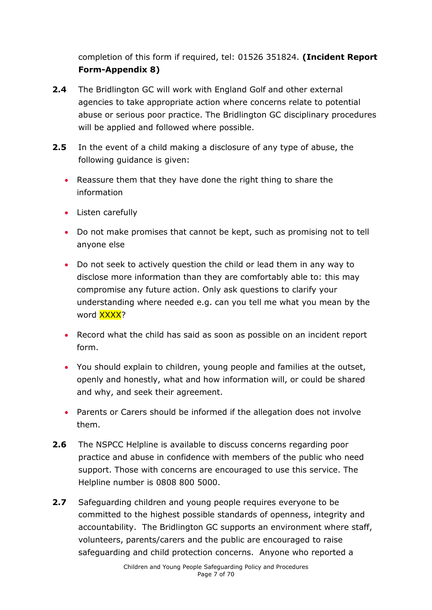completion of this form if required, tel: 01526 351824. **(Incident Report Form-Appendix 8)**

- **2.4** The Bridlington GC will work with England Golf and other external agencies to take appropriate action where concerns relate to potential abuse or serious poor practice. The Bridlington GC disciplinary procedures will be applied and followed where possible.
- **2.5** In the event of a child making a disclosure of any type of abuse, the following guidance is given:
	- Reassure them that they have done the right thing to share the information
	- Listen carefully
	- Do not make promises that cannot be kept, such as promising not to tell anyone else
	- Do not seek to actively question the child or lead them in any way to disclose more information than they are comfortably able to: this may compromise any future action. Only ask questions to clarify your understanding where needed e.g. can you tell me what you mean by the word XXXX?
	- Record what the child has said as soon as possible on an incident report form.
	- You should explain to children, young people and families at the outset, openly and honestly, what and how information will, or could be shared and why, and seek their agreement.
	- Parents or Carers should be informed if the allegation does not involve them.
- **2.6** The NSPCC Helpline is available to discuss concerns regarding poor practice and abuse in confidence with members of the public who need support. Those with concerns are encouraged to use this service. The Helpline number is 0808 800 5000.
- **2.7** Safeguarding children and young people requires everyone to be committed to the highest possible standards of openness, integrity and accountability. The Bridlington GC supports an environment where staff, volunteers, parents/carers and the public are encouraged to raise safeguarding and child protection concerns. Anyone who reported a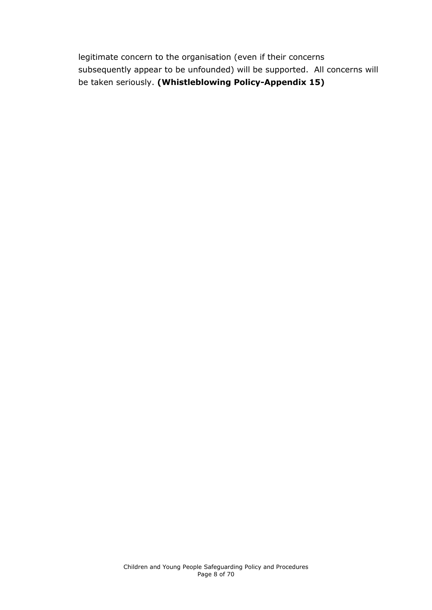<span id="page-7-0"></span>legitimate concern to the organisation (even if their concerns subsequently appear to be unfounded) will be supported. All concerns will be taken seriously. **(Whistleblowing Policy-Appendix 15)**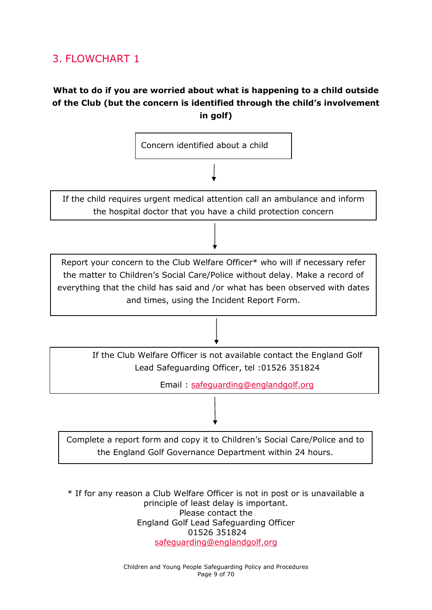## 3. FLOWCHART 1

### **What to do if you are worried about what is happening to a child outside of the Club (but the concern is identified through the child's involvement in golf)**



\* If for any reason a Club Welfare Officer is not in post or is unavailable a principle of least delay is important. Please contact the England Golf Lead Safeguarding Officer 01526 351824 [safeguarding@englandgolf.org](mailto:safeguarding@englandgolf.org)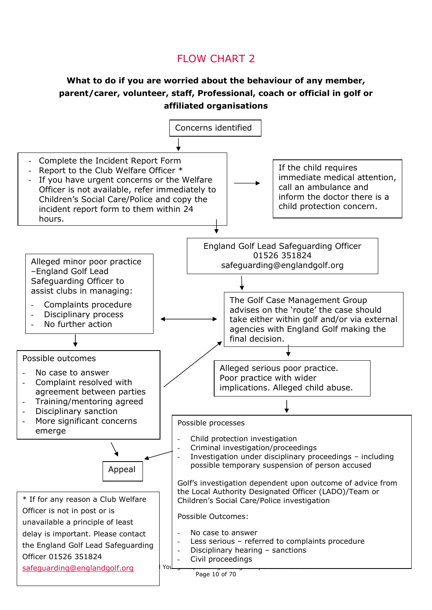## FLOW CHART 2

#### **What to do if you are worried about the behaviour of any member, parent/carer, volunteer, staff, Professional, coach or official in golf or affiliated organisations**

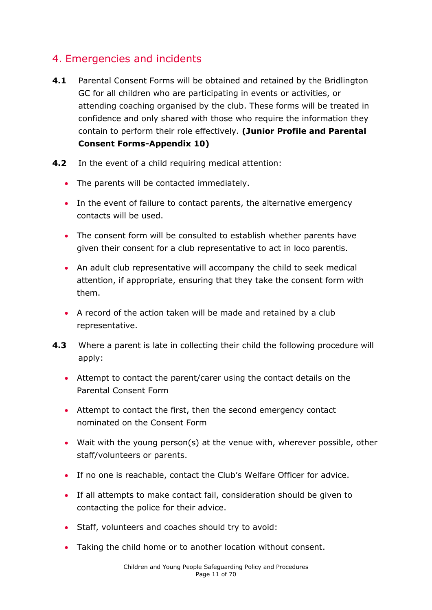## <span id="page-10-0"></span>4. Emergencies and incidents

- **4.1** Parental Consent Forms will be obtained and retained by the Bridlington GC for all children who are participating in events or activities, or attending coaching organised by the club. These forms will be treated in confidence and only shared with those who require the information they contain to perform their role effectively. **(Junior Profile and Parental Consent Forms-Appendix 10)**
- **4.2** In the event of a child requiring medical attention:
	- The parents will be contacted immediately.
	- In the event of failure to contact parents, the alternative emergency contacts will be used.
	- The consent form will be consulted to establish whether parents have given their consent for a club representative to act in loco parentis.
	- An adult club representative will accompany the child to seek medical attention, if appropriate, ensuring that they take the consent form with them.
	- A record of the action taken will be made and retained by a club representative.
- **4.3** Where a parent is late in collecting their child the following procedure will apply:
	- Attempt to contact the parent/carer using the contact details on the Parental Consent Form
	- Attempt to contact the first, then the second emergency contact nominated on the Consent Form
	- Wait with the young person(s) at the venue with, wherever possible, other staff/volunteers or parents.
	- If no one is reachable, contact the Club's Welfare Officer for advice.
	- If all attempts to make contact fail, consideration should be given to contacting the police for their advice.
	- Staff, volunteers and coaches should try to avoid:
	- Taking the child home or to another location without consent.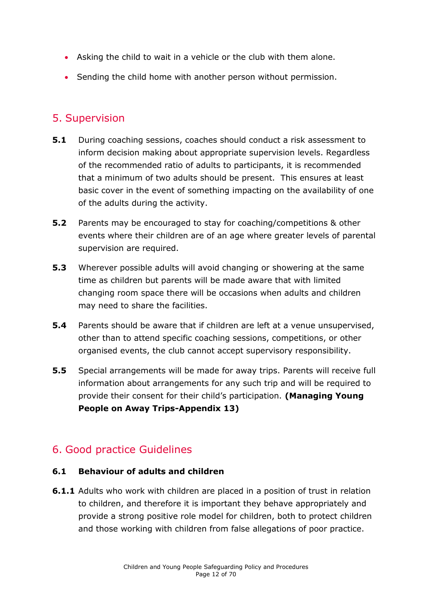- Asking the child to wait in a vehicle or the club with them alone.
- Sending the child home with another person without permission.

#### <span id="page-11-0"></span>5. Supervision

- **5.1** During coaching sessions, coaches should conduct a risk assessment to inform decision making about appropriate supervision levels. Regardless of the recommended ratio of adults to participants, it is recommended that a minimum of two adults should be present. This ensures at least basic cover in the event of something impacting on the availability of one of the adults during the activity.
- **5.2** Parents may be encouraged to stay for coaching/competitions & other events where their children are of an age where greater levels of parental supervision are required.
- **5.3** Wherever possible adults will avoid changing or showering at the same time as children but parents will be made aware that with limited changing room space there will be occasions when adults and children may need to share the facilities.
- **5.4** Parents should be aware that if children are left at a venue unsupervised, other than to attend specific coaching sessions, competitions, or other organised events, the club cannot accept supervisory responsibility.
- **5.5** Special arrangements will be made for away trips. Parents will receive full information about arrangements for any such trip and will be required to provide their consent for their child's participation. **(Managing Young People on Away Trips-Appendix 13)**

## <span id="page-11-1"></span>6. Good practice Guidelines

#### **6.1 Behaviour of adults and children**

**6.1.1** Adults who work with children are placed in a position of trust in relation to children, and therefore it is important they behave appropriately and provide a strong positive role model for children, both to protect children and those working with children from false allegations of poor practice.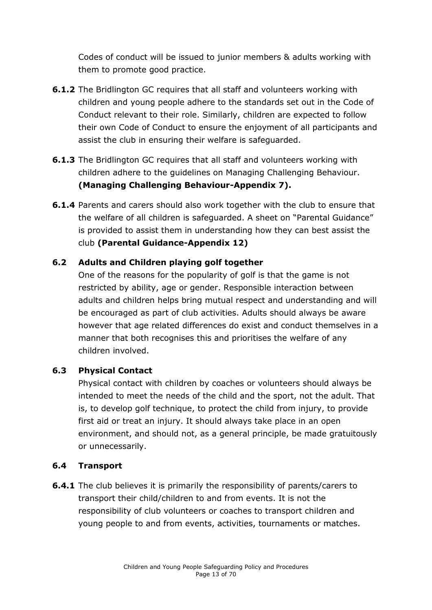Codes of conduct will be issued to junior members & adults working with them to promote good practice.

- **6.1.2** The Bridlington GC requires that all staff and volunteers working with children and young people adhere to the standards set out in the Code of Conduct relevant to their role. Similarly, children are expected to follow their own Code of Conduct to ensure the enjoyment of all participants and assist the club in ensuring their welfare is safeguarded.
- **6.1.3** The Bridlington GC requires that all staff and volunteers working with children adhere to the guidelines on Managing Challenging Behaviour. **(Managing Challenging Behaviour-Appendix 7).**
- **6.1.4** Parents and carers should also work together with the club to ensure that the welfare of all children is safeguarded. A sheet on "Parental Guidance" is provided to assist them in understanding how they can best assist the club **(Parental Guidance-Appendix 12)**

#### **6.2 Adults and Children playing golf together**

One of the reasons for the popularity of golf is that the game is not restricted by ability, age or gender. Responsible interaction between adults and children helps bring mutual respect and understanding and will be encouraged as part of club activities. Adults should always be aware however that age related differences do exist and conduct themselves in a manner that both recognises this and prioritises the welfare of any children involved.

#### **6.3 Physical Contact**

Physical contact with children by coaches or volunteers should always be intended to meet the needs of the child and the sport, not the adult. That is, to develop golf technique, to protect the child from injury, to provide first aid or treat an injury. It should always take place in an open environment, and should not, as a general principle, be made gratuitously or unnecessarily.

#### **6.4 Transport**

**6.4.1** The club believes it is primarily the responsibility of parents/carers to transport their child/children to and from events. It is not the responsibility of club volunteers or coaches to transport children and young people to and from events, activities, tournaments or matches.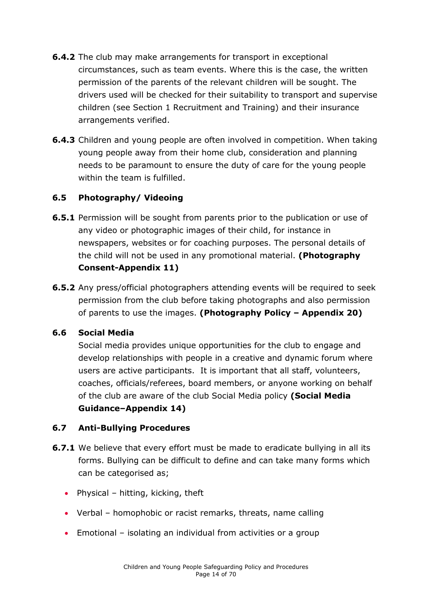- **6.4.2** The club may make arrangements for transport in exceptional circumstances, such as team events. Where this is the case, the written permission of the parents of the relevant children will be sought. The drivers used will be checked for their suitability to transport and supervise children (see Section 1 Recruitment and Training) and their insurance arrangements verified.
- **6.4.3** Children and young people are often involved in competition. When taking young people away from their home club, consideration and planning needs to be paramount to ensure the duty of care for the young people within the team is fulfilled.

#### **6.5 Photography/ Videoing**

- **6.5.1** Permission will be sought from parents prior to the publication or use of any video or photographic images of their child, for instance in newspapers, websites or for coaching purposes. The personal details of the child will not be used in any promotional material. **(Photography Consent-Appendix 11)**
- **6.5.2** Any press/official photographers attending events will be required to seek permission from the club before taking photographs and also permission of parents to use the images. **(Photography Policy – Appendix 20)**

#### **6.6 Social Media**

Social media provides unique opportunities for the club to engage and develop relationships with people in a creative and dynamic forum where users are active participants. It is important that all staff, volunteers, coaches, officials/referees, board members, or anyone working on behalf of the club are aware of the club Social Media policy **(Social Media Guidance–Appendix 14)**

#### **6.7 Anti-Bullying Procedures**

- **6.7.1** We believe that every effort must be made to eradicate bullying in all its forms. Bullying can be difficult to define and can take many forms which can be categorised as;
	- Physical hitting, kicking, theft
	- Verbal homophobic or racist remarks, threats, name calling
	- Emotional isolating an individual from activities or a group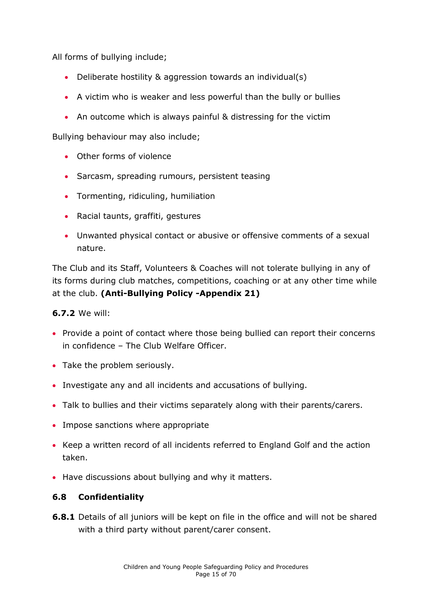All forms of bullying include;

- Deliberate hostility & aggression towards an individual(s)
- A victim who is weaker and less powerful than the bully or bullies
- An outcome which is always painful & distressing for the victim

Bullying behaviour may also include;

- Other forms of violence
- Sarcasm, spreading rumours, persistent teasing
- Tormenting, ridiculing, humiliation
- Racial taunts, graffiti, gestures
- Unwanted physical contact or abusive or offensive comments of a sexual nature.

The Club and its Staff, Volunteers & Coaches will not tolerate bullying in any of its forms during club matches, competitions, coaching or at any other time while at the club. **(Anti-Bullying Policy -Appendix 21)**

#### **6.7.2** We will:

- Provide a point of contact where those being bullied can report their concerns in confidence – The Club Welfare Officer.
- Take the problem seriously.
- Investigate any and all incidents and accusations of bullying.
- Talk to bullies and their victims separately along with their parents/carers.
- Impose sanctions where appropriate
- Keep a written record of all incidents referred to England Golf and the action taken.
- Have discussions about bullying and why it matters.

#### **6.8 Confidentiality**

**6.8.1** Details of all juniors will be kept on file in the office and will not be shared with a third party without parent/carer consent.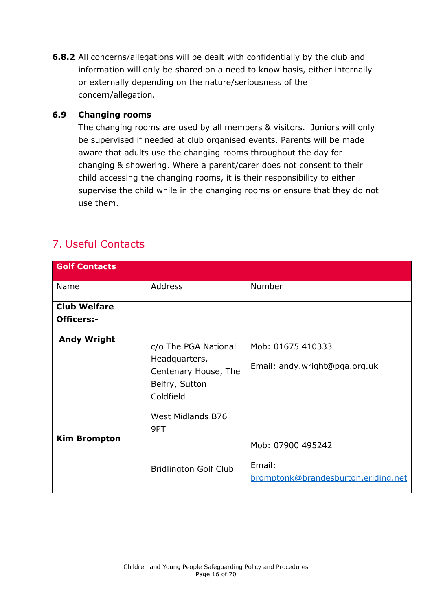**6.8.2** All concerns/allegations will be dealt with confidentially by the club and information will only be shared on a need to know basis, either internally or externally depending on the nature/seriousness of the concern/allegation.

#### **6.9 Changing rooms**

The changing rooms are used by all members & visitors. Juniors will only be supervised if needed at club organised events. Parents will be made aware that adults use the changing rooms throughout the day for changing & showering. Where a parent/carer does not consent to their child accessing the changing rooms, it is their responsibility to either supervise the child while in the changing rooms or ensure that they do not use them.

## <span id="page-15-0"></span>7. Useful Contacts

| <b>Golf Contacts</b> |                                                                                              |                                                    |
|----------------------|----------------------------------------------------------------------------------------------|----------------------------------------------------|
| Name                 | Address                                                                                      | Number                                             |
| <b>Club Welfare</b>  |                                                                                              |                                                    |
| <b>Officers:-</b>    |                                                                                              |                                                    |
| <b>Andy Wright</b>   | c/o The PGA National<br>Headquarters,<br>Centenary House, The<br>Belfry, Sutton<br>Coldfield | Mob: 01675 410333<br>Email: andy.wright@pga.org.uk |
| <b>Kim Brompton</b>  | West Midlands B76<br>9PT                                                                     | Mob: 07900 495242                                  |
|                      | <b>Bridlington Golf Club</b>                                                                 | Email:<br>bromptonk@brandesburton.eriding.net      |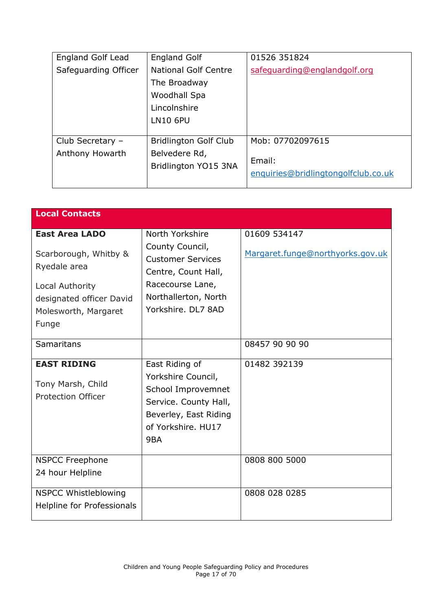| England Golf Lead    | <b>England Golf</b>          | 01526 351824                        |
|----------------------|------------------------------|-------------------------------------|
| Safeguarding Officer | <b>National Golf Centre</b>  | safeguarding@englandgolf.org        |
|                      | The Broadway                 |                                     |
|                      | Woodhall Spa                 |                                     |
|                      | Lincolnshire                 |                                     |
|                      | <b>LN10 6PU</b>              |                                     |
|                      |                              |                                     |
| Club Secretary -     | <b>Bridlington Golf Club</b> | Mob: 07702097615                    |
| Anthony Howarth      | Belvedere Rd,                |                                     |
|                      | Bridlington YO15 3NA         | Email:                              |
|                      |                              | enquiries@bridlingtongolfclub.co.uk |
|                      |                              |                                     |

| <b>Local Contacts</b>                                                                                                                          |                                                                                                                                                         |                                                  |
|------------------------------------------------------------------------------------------------------------------------------------------------|---------------------------------------------------------------------------------------------------------------------------------------------------------|--------------------------------------------------|
| <b>East Area LADO</b><br>Scarborough, Whitby &<br>Ryedale area<br>Local Authority<br>designated officer David<br>Molesworth, Margaret<br>Funge | North Yorkshire<br>County Council,<br><b>Customer Services</b><br>Centre, Count Hall,<br>Racecourse Lane,<br>Northallerton, North<br>Yorkshire, DL7 8AD | 01609 534147<br>Margaret.funge@northyorks.gov.uk |
| <b>Samaritans</b>                                                                                                                              |                                                                                                                                                         | 08457 90 90 90                                   |
| <b>EAST RIDING</b><br>Tony Marsh, Child<br><b>Protection Officer</b>                                                                           | East Riding of<br>Yorkshire Council,<br>School Improvemnet<br>Service. County Hall,<br>Beverley, East Riding<br>of Yorkshire. HU17<br>9BA               | 01482 392139                                     |
| <b>NSPCC Freephone</b><br>24 hour Helpline                                                                                                     |                                                                                                                                                         | 0808 800 5000                                    |
| <b>NSPCC Whistleblowing</b><br>Helpline for Professionals                                                                                      |                                                                                                                                                         | 0808 028 0285                                    |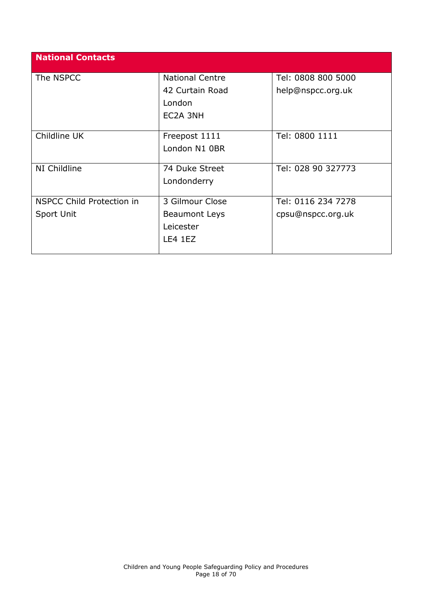| <b>National Contacts</b>  |                        |                    |
|---------------------------|------------------------|--------------------|
| The NSPCC                 | <b>National Centre</b> | Tel: 0808 800 5000 |
|                           | 42 Curtain Road        | help@nspcc.org.uk  |
|                           | London                 |                    |
|                           | EC2A 3NH               |                    |
| Childline UK              | Freepost 1111          | Tel: 0800 1111     |
|                           | London N1 0BR          |                    |
| NI Childline              | 74 Duke Street         | Tel: 028 90 327773 |
|                           | Londonderry            |                    |
| NSPCC Child Protection in | 3 Gilmour Close        | Tel: 0116 234 7278 |
| Sport Unit                | Beaumont Leys          | cpsu@nspcc.org.uk  |
|                           | Leicester              |                    |
|                           | LE4 1EZ                |                    |
|                           |                        |                    |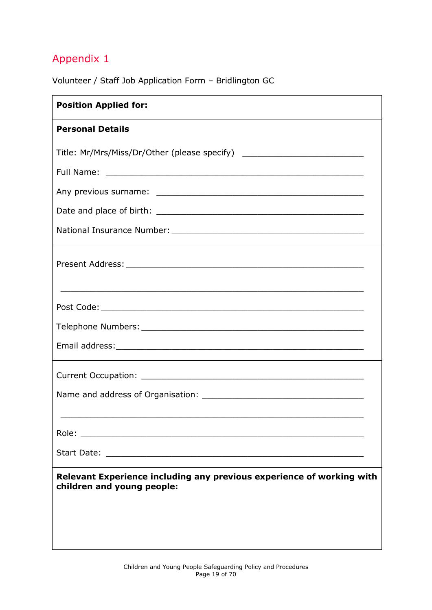<span id="page-18-0"></span>Volunteer / Staff Job Application Form – Bridlington GC

| <b>Position Applied for:</b>                                                                        |
|-----------------------------------------------------------------------------------------------------|
| <b>Personal Details</b>                                                                             |
| Title: Mr/Mrs/Miss/Dr/Other (please specify) ___________________________________                    |
|                                                                                                     |
|                                                                                                     |
|                                                                                                     |
|                                                                                                     |
|                                                                                                     |
|                                                                                                     |
|                                                                                                     |
|                                                                                                     |
|                                                                                                     |
|                                                                                                     |
| Role:                                                                                               |
|                                                                                                     |
| Relevant Experience including any previous experience of working with<br>children and young people: |
|                                                                                                     |
|                                                                                                     |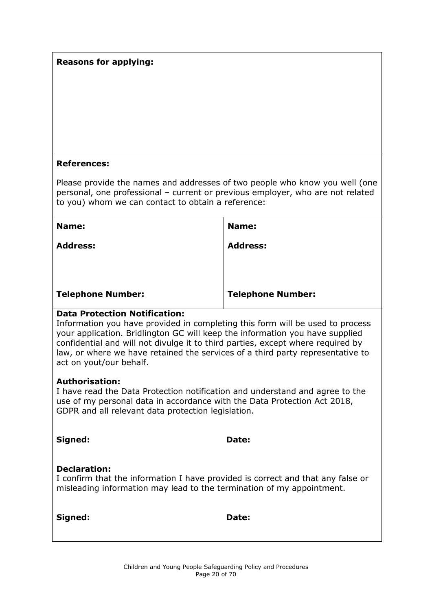#### **Reasons for applying:**

#### **References:**

Please provide the names and addresses of two people who know you well (one personal, one professional – current or previous employer, who are not related to you) whom we can contact to obtain a reference:

| Name:                    | Name:                    |
|--------------------------|--------------------------|
| <b>Address:</b>          | <b>Address:</b>          |
|                          |                          |
|                          |                          |
| <b>Telephone Number:</b> | <b>Telephone Number:</b> |

#### **Data Protection Notification:**

Information you have provided in completing this form will be used to process your application. Bridlington GC will keep the information you have supplied confidential and will not divulge it to third parties, except where required by law, or where we have retained the services of a third party representative to act on yout/our behalf.

#### **Authorisation:**

I have read the Data Protection notification and understand and agree to the use of my personal data in accordance with the Data Protection Act 2018, GDPR and all relevant data protection legislation.

| Signed:                                                                                                                                                                         | Date: |
|---------------------------------------------------------------------------------------------------------------------------------------------------------------------------------|-------|
| <b>Declaration:</b><br>I confirm that the information I have provided is correct and that any false or<br>misleading information may lead to the termination of my appointment. |       |

**Signed: Date:**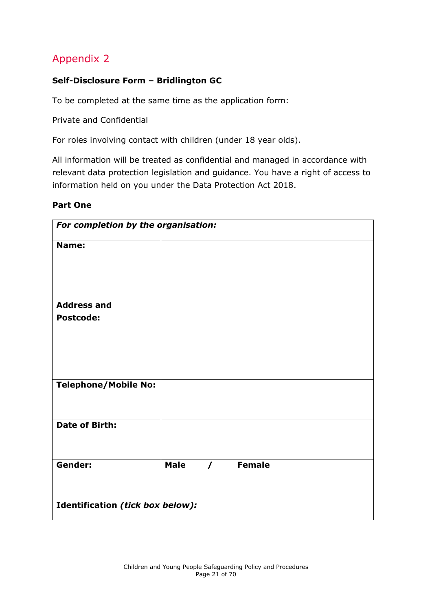#### <span id="page-20-0"></span>**Self-Disclosure Form – Bridlington GC**

To be completed at the same time as the application form:

Private and Confidential

For roles involving contact with children (under 18 year olds).

All information will be treated as confidential and managed in accordance with relevant data protection legislation and guidance. You have a right of access to information held on you under the Data Protection Act 2018.

#### **Part One**

| For completion by the organisation: |             |            |               |  |
|-------------------------------------|-------------|------------|---------------|--|
| Name:                               |             |            |               |  |
|                                     |             |            |               |  |
|                                     |             |            |               |  |
| <b>Address and</b>                  |             |            |               |  |
| <b>Postcode:</b>                    |             |            |               |  |
|                                     |             |            |               |  |
|                                     |             |            |               |  |
|                                     |             |            |               |  |
| <b>Telephone/Mobile No:</b>         |             |            |               |  |
|                                     |             |            |               |  |
| <b>Date of Birth:</b>               |             |            |               |  |
|                                     |             |            |               |  |
|                                     |             |            |               |  |
| Gender:                             | <b>Male</b> | $\sqrt{2}$ | <b>Female</b> |  |
|                                     |             |            |               |  |
| Identification (tick box below):    |             |            |               |  |
|                                     |             |            |               |  |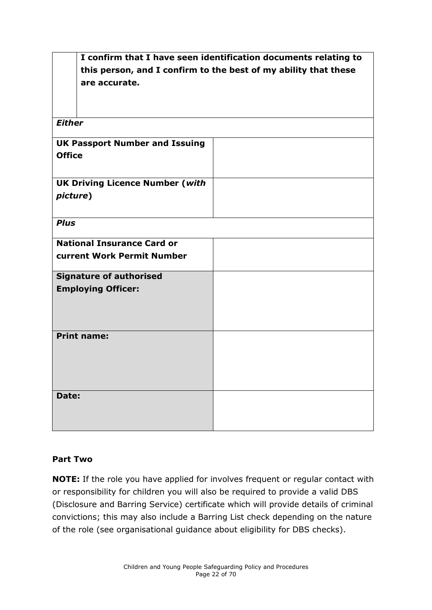|                                                                 | I confirm that I have seen identification documents relating to |
|-----------------------------------------------------------------|-----------------------------------------------------------------|
| this person, and I confirm to the best of my ability that these |                                                                 |
| are accurate.                                                   |                                                                 |
|                                                                 |                                                                 |
|                                                                 |                                                                 |
| <b>Either</b>                                                   |                                                                 |
|                                                                 |                                                                 |
| <b>UK Passport Number and Issuing</b>                           |                                                                 |
| <b>Office</b>                                                   |                                                                 |
|                                                                 |                                                                 |
| <b>UK Driving Licence Number (with</b>                          |                                                                 |
| picture)                                                        |                                                                 |
|                                                                 |                                                                 |
|                                                                 |                                                                 |
| <b>Plus</b>                                                     |                                                                 |
| <b>National Insurance Card or</b>                               |                                                                 |
| <b>current Work Permit Number</b>                               |                                                                 |
|                                                                 |                                                                 |
| <b>Signature of authorised</b>                                  |                                                                 |
| <b>Employing Officer:</b>                                       |                                                                 |
|                                                                 |                                                                 |
|                                                                 |                                                                 |
|                                                                 |                                                                 |
| <b>Print name:</b>                                              |                                                                 |
|                                                                 |                                                                 |
|                                                                 |                                                                 |
|                                                                 |                                                                 |
|                                                                 |                                                                 |
| Date:                                                           |                                                                 |
|                                                                 |                                                                 |
|                                                                 |                                                                 |

#### **Part Two**

**NOTE:** If the role you have applied for involves frequent or regular contact with or responsibility for children you will also be required to provide a valid DBS (Disclosure and Barring Service) certificate which will provide details of criminal convictions; this may also include a Barring List check depending on the nature of the role (see organisational guidance about eligibility for DBS checks).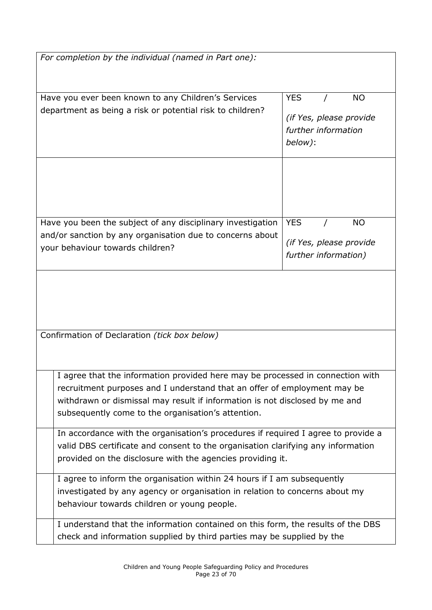| For completion by the individual (named in Part one):                                                                                                                                                                                                                                           |                                                                                      |  |  |
|-------------------------------------------------------------------------------------------------------------------------------------------------------------------------------------------------------------------------------------------------------------------------------------------------|--------------------------------------------------------------------------------------|--|--|
| Have you ever been known to any Children's Services<br>department as being a risk or potential risk to children?                                                                                                                                                                                | <b>YES</b><br><b>NO</b><br>(if Yes, please provide<br>further information<br>below): |  |  |
| Have you been the subject of any disciplinary investigation<br>and/or sanction by any organisation due to concerns about<br>your behaviour towards children?                                                                                                                                    | <b>YES</b><br><b>NO</b><br>(if Yes, please provide<br>further information)           |  |  |
| Confirmation of Declaration (tick box below)                                                                                                                                                                                                                                                    |                                                                                      |  |  |
| I agree that the information provided here may be processed in connection with<br>recruitment purposes and I understand that an offer of employment may be<br>withdrawn or dismissal may result if information is not disclosed by me and<br>subsequently come to the organisation's attention. |                                                                                      |  |  |
| In accordance with the organisation's procedures if required I agree to provide a<br>valid DBS certificate and consent to the organisation clarifying any information<br>provided on the disclosure with the agencies providing it.                                                             |                                                                                      |  |  |
| I agree to inform the organisation within 24 hours if I am subsequently<br>investigated by any agency or organisation in relation to concerns about my<br>behaviour towards children or young people.                                                                                           |                                                                                      |  |  |
| I understand that the information contained on this form, the results of the DBS<br>check and information supplied by third parties may be supplied by the                                                                                                                                      |                                                                                      |  |  |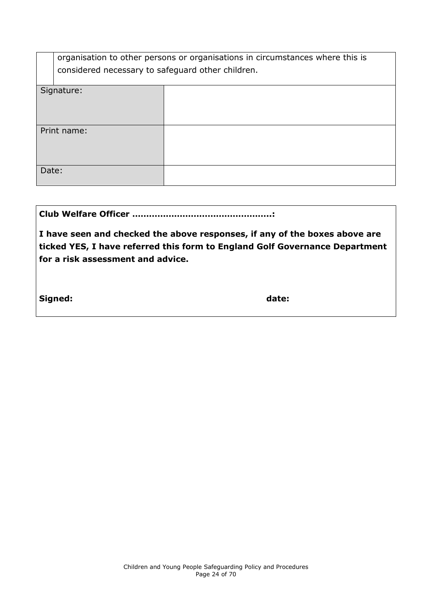|       | organisation to other persons or organisations in circumstances where this is<br>considered necessary to safeguard other children. |  |  |
|-------|------------------------------------------------------------------------------------------------------------------------------------|--|--|
|       | Signature:                                                                                                                         |  |  |
|       |                                                                                                                                    |  |  |
|       |                                                                                                                                    |  |  |
|       |                                                                                                                                    |  |  |
|       |                                                                                                                                    |  |  |
|       |                                                                                                                                    |  |  |
|       | Print name:                                                                                                                        |  |  |
|       |                                                                                                                                    |  |  |
|       |                                                                                                                                    |  |  |
|       |                                                                                                                                    |  |  |
|       |                                                                                                                                    |  |  |
|       |                                                                                                                                    |  |  |
| Date: |                                                                                                                                    |  |  |
|       |                                                                                                                                    |  |  |
|       |                                                                                                                                    |  |  |

|--|--|

**I have seen and checked the above responses, if any of the boxes above are ticked YES, I have referred this form to England Golf Governance Department for a risk assessment and advice.**

**Signed: date:**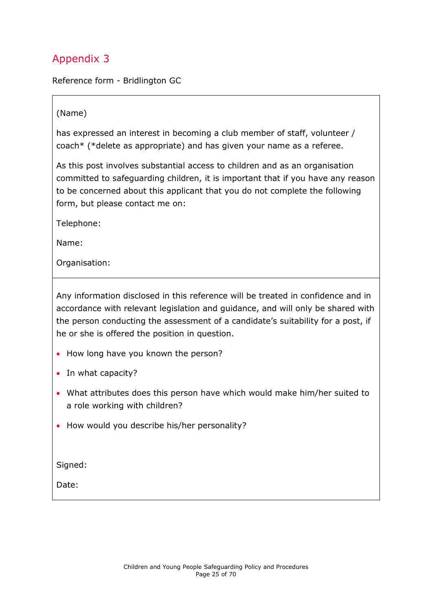<span id="page-24-0"></span>Reference form - Bridlington GC

#### (Name)

has expressed an interest in becoming a club member of staff, volunteer / coach\* (\*delete as appropriate) and has given your name as a referee.

As this post involves substantial access to children and as an organisation committed to safeguarding children, it is important that if you have any reason to be concerned about this applicant that you do not complete the following form, but please contact me on:

Telephone:

Name:

Organisation:

Any information disclosed in this reference will be treated in confidence and in accordance with relevant legislation and guidance, and will only be shared with the person conducting the assessment of a candidate's suitability for a post, if he or she is offered the position in question.

- How long have you known the person?
- In what capacity?
- What attributes does this person have which would make him/her suited to a role working with children?
- How would you describe his/her personality?

Signed:

Date: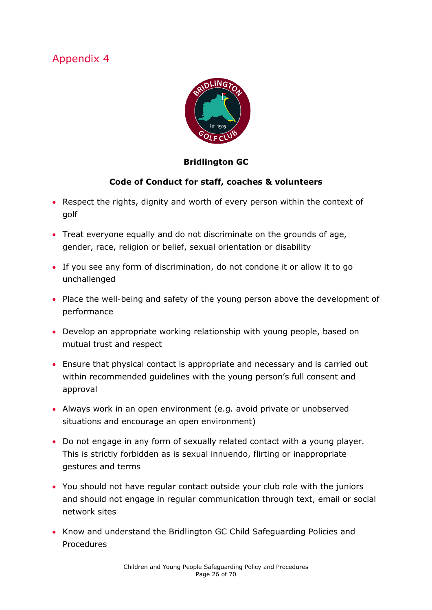<span id="page-25-0"></span>

#### **Bridlington GC**

#### **Code of Conduct for staff, coaches & volunteers**

- Respect the rights, dignity and worth of every person within the context of golf
- Treat everyone equally and do not discriminate on the grounds of age, gender, race, religion or belief, sexual orientation or disability
- If you see any form of discrimination, do not condone it or allow it to go unchallenged
- Place the well-being and safety of the young person above the development of performance
- Develop an appropriate working relationship with young people, based on mutual trust and respect
- Ensure that physical contact is appropriate and necessary and is carried out within recommended guidelines with the young person's full consent and approval
- Always work in an open environment (e.g. avoid private or unobserved situations and encourage an open environment)
- Do not engage in any form of sexually related contact with a young player. This is strictly forbidden as is sexual innuendo, flirting or inappropriate gestures and terms
- You should not have regular contact outside your club role with the juniors and should not engage in regular communication through text, email or social network sites
- Know and understand the Bridlington GC Child Safeguarding Policies and **Procedures**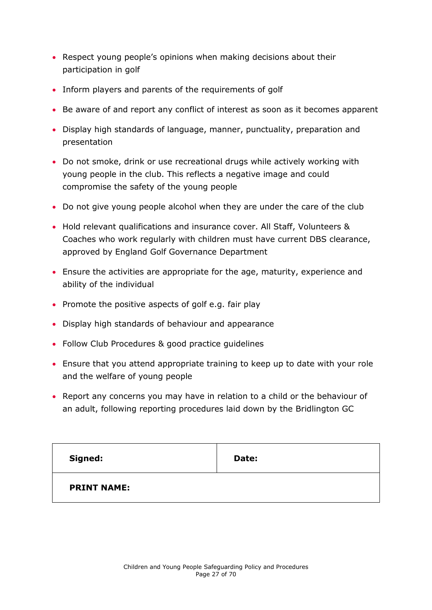- Respect young people's opinions when making decisions about their participation in golf
- Inform players and parents of the requirements of golf
- Be aware of and report any conflict of interest as soon as it becomes apparent
- Display high standards of language, manner, punctuality, preparation and presentation
- Do not smoke, drink or use recreational drugs while actively working with young people in the club. This reflects a negative image and could compromise the safety of the young people
- Do not give young people alcohol when they are under the care of the club
- Hold relevant qualifications and insurance cover. All Staff, Volunteers & Coaches who work regularly with children must have current DBS clearance, approved by England Golf Governance Department
- Ensure the activities are appropriate for the age, maturity, experience and ability of the individual
- Promote the positive aspects of golf e.g. fair play
- Display high standards of behaviour and appearance
- Follow Club Procedures & good practice quidelines
- Ensure that you attend appropriate training to keep up to date with your role and the welfare of young people
- Report any concerns you may have in relation to a child or the behaviour of an adult, following reporting procedures laid down by the Bridlington GC

| Signed:            | Date: |
|--------------------|-------|
| <b>PRINT NAME:</b> |       |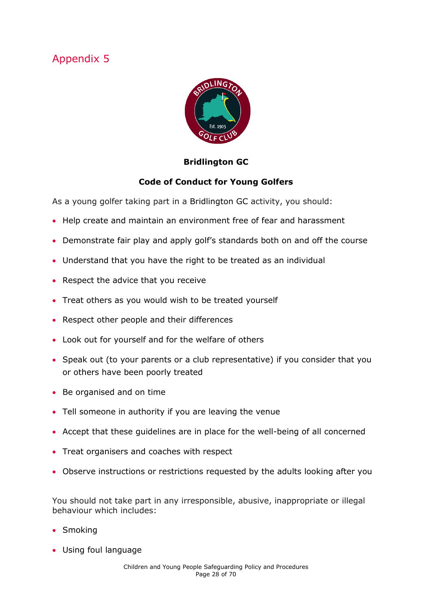<span id="page-27-0"></span>

#### **Bridlington GC**

#### **Code of Conduct for Young Golfers**

As a young golfer taking part in a Bridlington GC activity, you should:

- Help create and maintain an environment free of fear and harassment
- Demonstrate fair play and apply golf's standards both on and off the course
- Understand that you have the right to be treated as an individual
- Respect the advice that you receive
- Treat others as you would wish to be treated yourself
- Respect other people and their differences
- Look out for yourself and for the welfare of others
- Speak out (to your parents or a club representative) if you consider that you or others have been poorly treated
- Be organised and on time
- Tell someone in authority if you are leaving the venue
- Accept that these guidelines are in place for the well-being of all concerned
- Treat organisers and coaches with respect
- Observe instructions or restrictions requested by the adults looking after you

You should not take part in any irresponsible, abusive, inappropriate or illegal behaviour which includes:

- Smoking
- Using foul language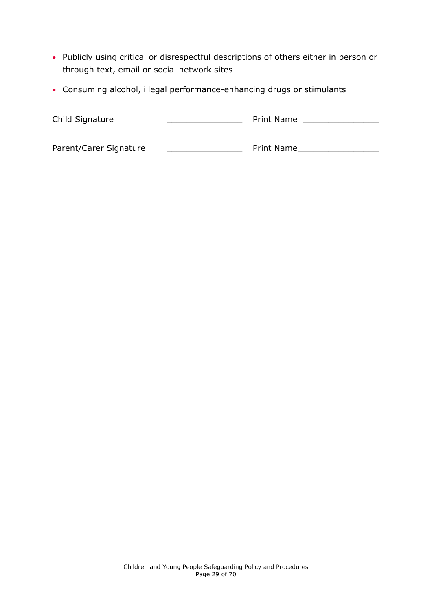- Publicly using critical or disrespectful descriptions of others either in person or through text, email or social network sites
- Consuming alcohol, illegal performance-enhancing drugs or stimulants

| Child Signature        | Print Name        |
|------------------------|-------------------|
| Parent/Carer Signature | <b>Print Name</b> |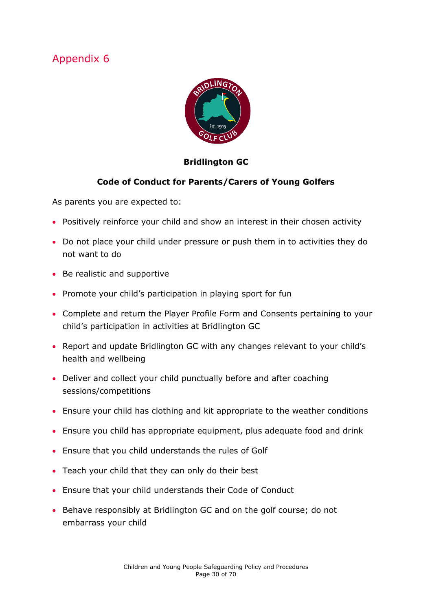<span id="page-29-0"></span>

#### **Bridlington GC**

#### **Code of Conduct for Parents/Carers of Young Golfers**

As parents you are expected to:

- Positively reinforce your child and show an interest in their chosen activity
- Do not place your child under pressure or push them in to activities they do not want to do
- Be realistic and supportive
- Promote your child's participation in playing sport for fun
- Complete and return the Player Profile Form and Consents pertaining to your child's participation in activities at Bridlington GC
- Report and update Bridlington GC with any changes relevant to your child's health and wellbeing
- Deliver and collect your child punctually before and after coaching sessions/competitions
- Ensure your child has clothing and kit appropriate to the weather conditions
- Ensure you child has appropriate equipment, plus adequate food and drink
- Ensure that you child understands the rules of Golf
- Teach your child that they can only do their best
- Ensure that your child understands their Code of Conduct
- Behave responsibly at Bridlington GC and on the golf course; do not embarrass your child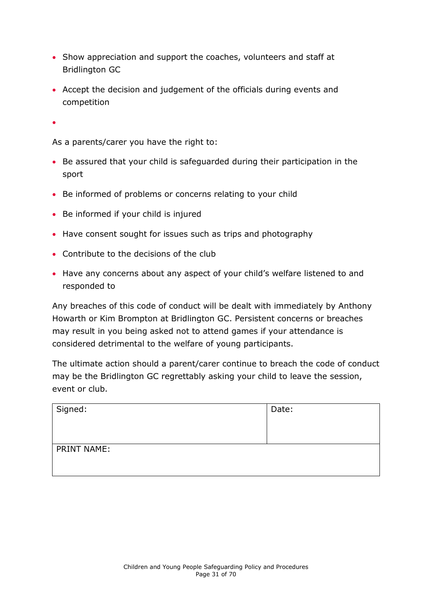- Show appreciation and support the coaches, volunteers and staff at Bridlington GC
- Accept the decision and judgement of the officials during events and competition

 $\bullet$ 

As a parents/carer you have the right to:

- Be assured that your child is safeguarded during their participation in the sport
- Be informed of problems or concerns relating to your child
- Be informed if your child is injured
- Have consent sought for issues such as trips and photography
- Contribute to the decisions of the club
- Have any concerns about any aspect of your child's welfare listened to and responded to

Any breaches of this code of conduct will be dealt with immediately by Anthony Howarth or Kim Brompton at Bridlington GC. Persistent concerns or breaches may result in you being asked not to attend games if your attendance is considered detrimental to the welfare of young participants.

The ultimate action should a parent/carer continue to breach the code of conduct may be the Bridlington GC regrettably asking your child to leave the session, event or club.

| Signed:     | Date: |
|-------------|-------|
| PRINT NAME: |       |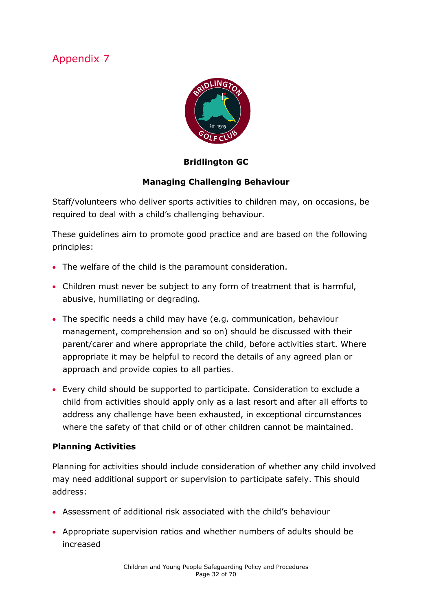

#### **Bridlington GC**

#### **Managing Challenging Behaviour**

Staff/volunteers who deliver sports activities to children may, on occasions, be required to deal with a child's challenging behaviour.

These guidelines aim to promote good practice and are based on the following principles:

- The welfare of the child is the paramount consideration.
- Children must never be subject to any form of treatment that is harmful, abusive, humiliating or degrading.
- The specific needs a child may have (e.g. communication, behaviour management, comprehension and so on) should be discussed with their parent/carer and where appropriate the child, before activities start. Where appropriate it may be helpful to record the details of any agreed plan or approach and provide copies to all parties.
- Every child should be supported to participate. Consideration to exclude a child from activities should apply only as a last resort and after all efforts to address any challenge have been exhausted, in exceptional circumstances where the safety of that child or of other children cannot be maintained.

#### **Planning Activities**

Planning for activities should include consideration of whether any child involved may need additional support or supervision to participate safely. This should address:

- Assessment of additional risk associated with the child's behaviour
- Appropriate supervision ratios and whether numbers of adults should be increased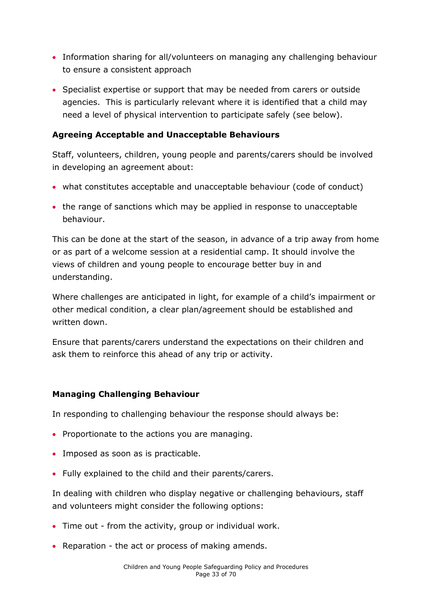- Information sharing for all/volunteers on managing any challenging behaviour to ensure a consistent approach
- Specialist expertise or support that may be needed from carers or outside agencies. This is particularly relevant where it is identified that a child may need a level of physical intervention to participate safely (see below).

#### **Agreeing Acceptable and Unacceptable Behaviours**

Staff, volunteers, children, young people and parents/carers should be involved in developing an agreement about:

- what constitutes acceptable and unacceptable behaviour (code of conduct)
- the range of sanctions which may be applied in response to unacceptable behaviour.

This can be done at the start of the season, in advance of a trip away from home or as part of a welcome session at a residential camp. It should involve the views of children and young people to encourage better buy in and understanding.

Where challenges are anticipated in light, for example of a child's impairment or other medical condition, a clear plan/agreement should be established and written down.

Ensure that parents/carers understand the expectations on their children and ask them to reinforce this ahead of any trip or activity.

#### **Managing Challenging Behaviour**

In responding to challenging behaviour the response should always be:

- Proportionate to the actions you are managing.
- Imposed as soon as is practicable.
- Fully explained to the child and their parents/carers.

In dealing with children who display negative or challenging behaviours, staff and volunteers might consider the following options:

- Time out from the activity, group or individual work.
- Reparation the act or process of making amends.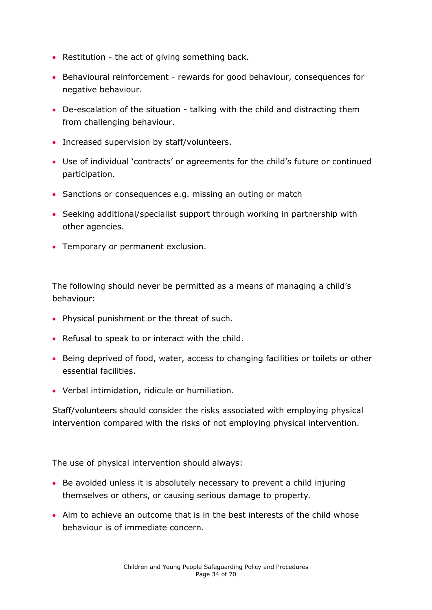- Restitution the act of giving something back.
- Behavioural reinforcement rewards for good behaviour, consequences for negative behaviour.
- De-escalation of the situation talking with the child and distracting them from challenging behaviour.
- Increased supervision by staff/volunteers.
- Use of individual 'contracts' or agreements for the child's future or continued participation.
- Sanctions or consequences e.g. missing an outing or match
- Seeking additional/specialist support through working in partnership with other agencies.
- Temporary or permanent exclusion.

The following should never be permitted as a means of managing a child's behaviour:

- Physical punishment or the threat of such.
- Refusal to speak to or interact with the child.
- Being deprived of food, water, access to changing facilities or toilets or other essential facilities.
- Verbal intimidation, ridicule or humiliation.

Staff/volunteers should consider the risks associated with employing physical intervention compared with the risks of not employing physical intervention.

The use of physical intervention should always:

- Be avoided unless it is absolutely necessary to prevent a child injuring themselves or others, or causing serious damage to property.
- Aim to achieve an outcome that is in the best interests of the child whose behaviour is of immediate concern.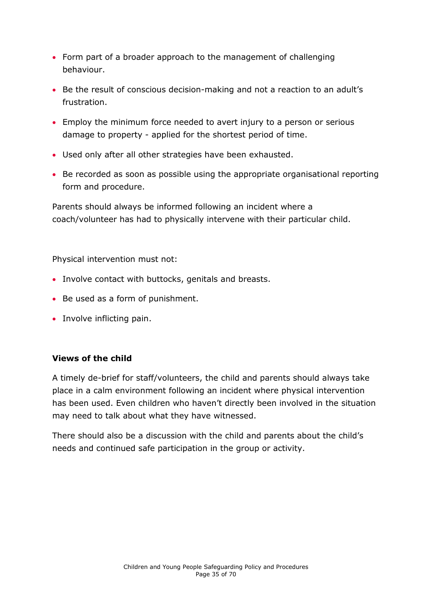- Form part of a broader approach to the management of challenging behaviour.
- Be the result of conscious decision-making and not a reaction to an adult's frustration.
- Employ the minimum force needed to avert injury to a person or serious damage to property - applied for the shortest period of time.
- Used only after all other strategies have been exhausted.
- Be recorded as soon as possible using the appropriate organisational reporting form and procedure.

Parents should always be informed following an incident where a coach/volunteer has had to physically intervene with their particular child.

Physical intervention must not:

- Involve contact with buttocks, genitals and breasts.
- Be used as a form of punishment.
- Involve inflicting pain.

#### **Views of the child**

A timely de-brief for staff/volunteers, the child and parents should always take place in a calm environment following an incident where physical intervention has been used. Even children who haven't directly been involved in the situation may need to talk about what they have witnessed.

There should also be a discussion with the child and parents about the child's needs and continued safe participation in the group or activity.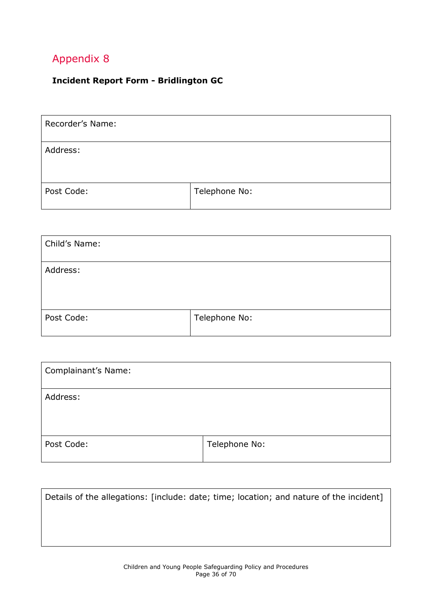#### <span id="page-35-0"></span>**Incident Report Form - Bridlington GC**

| Recorder's Name: |               |
|------------------|---------------|
| Address:         |               |
| Post Code:       | Telephone No: |

| Child's Name: |               |
|---------------|---------------|
| Address:      |               |
| Post Code:    | Telephone No: |

| <b>Complainant's Name:</b> |               |
|----------------------------|---------------|
| Address:                   |               |
| Post Code:                 | Telephone No: |

|  | Details of the allegations: [include: date; time; location; and nature of the incident] |
|--|-----------------------------------------------------------------------------------------|
|  |                                                                                         |
|  |                                                                                         |
|  |                                                                                         |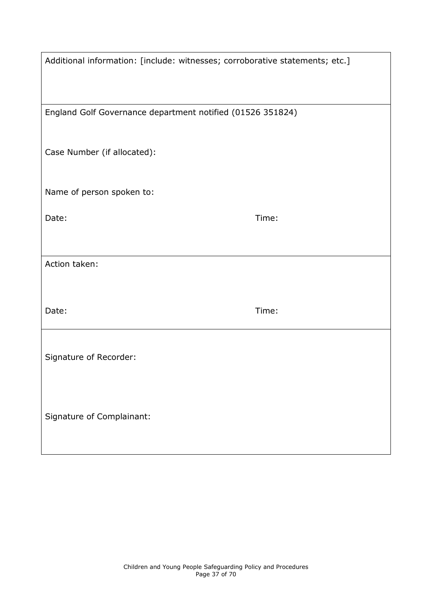| Additional information: [include: witnesses; corroborative statements; etc.] |       |
|------------------------------------------------------------------------------|-------|
|                                                                              |       |
| England Golf Governance department notified (01526 351824)                   |       |
| Case Number (if allocated):                                                  |       |
| Name of person spoken to:                                                    |       |
| Date:                                                                        | Time: |
|                                                                              |       |
| Action taken:                                                                |       |
| Date:                                                                        | Time: |
| Signature of Recorder:                                                       |       |
| Signature of Complainant:                                                    |       |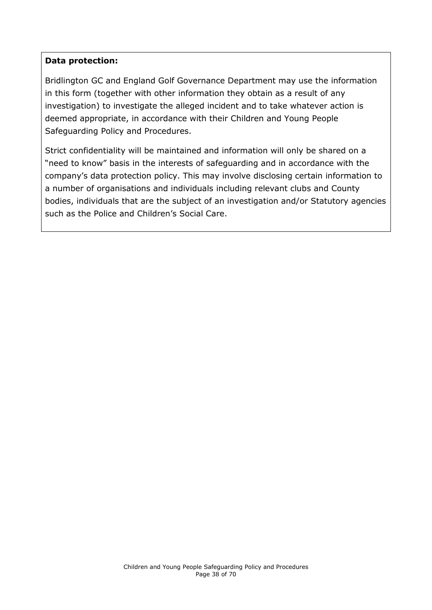#### **Data protection:**

Bridlington GC and England Golf Governance Department may use the information in this form (together with other information they obtain as a result of any investigation) to investigate the alleged incident and to take whatever action is deemed appropriate, in accordance with their Children and Young People Safeguarding Policy and Procedures.

<span id="page-37-0"></span>Strict confidentiality will be maintained and information will only be shared on a "need to know" basis in the interests of safeguarding and in accordance with the company's data protection policy. This may involve disclosing certain information to a number of organisations and individuals including relevant clubs and County bodies, individuals that are the subject of an investigation and/or Statutory agencies such as the Police and Children's Social Care.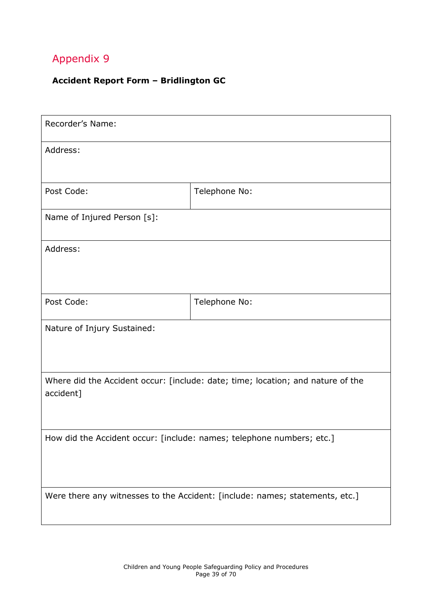#### **Accident Report Form – Bridlington GC**

| Recorder's Name:                                                                             |               |  |
|----------------------------------------------------------------------------------------------|---------------|--|
| Address:                                                                                     |               |  |
|                                                                                              |               |  |
| Post Code:                                                                                   | Telephone No: |  |
| Name of Injured Person [s]:                                                                  |               |  |
| Address:                                                                                     |               |  |
|                                                                                              |               |  |
| Post Code:                                                                                   | Telephone No: |  |
| Nature of Injury Sustained:                                                                  |               |  |
| Where did the Accident occur: [include: date; time; location; and nature of the<br>accident] |               |  |
| How did the Accident occur: [include: names; telephone numbers; etc.]                        |               |  |
| Were there any witnesses to the Accident: [include: names; statements, etc.]                 |               |  |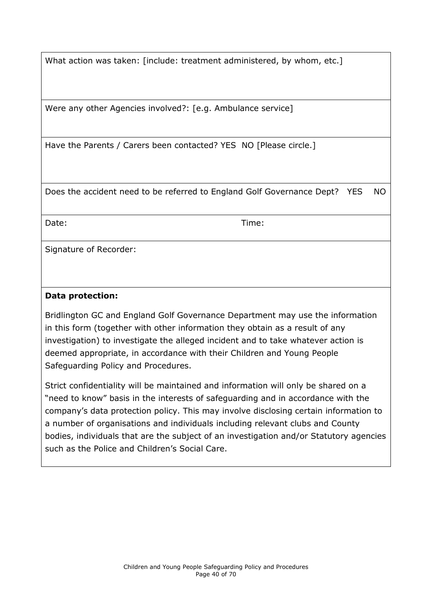What action was taken: [include: treatment administered, by whom, etc.]

Were any other Agencies involved?: [e.g. Ambulance service]

Have the Parents / Carers been contacted? YES NO [Please circle.]

Does the accident need to be referred to England Golf Governance Dept? YES NO

Date: Time:

Signature of Recorder:

#### **Data protection:**

Bridlington GC and England Golf Governance Department may use the information in this form (together with other information they obtain as a result of any investigation) to investigate the alleged incident and to take whatever action is deemed appropriate, in accordance with their Children and Young People Safeguarding Policy and Procedures.

Strict confidentiality will be maintained and information will only be shared on a "need to know" basis in the interests of safeguarding and in accordance with the company's data protection policy. This may involve disclosing certain information to a number of organisations and individuals including relevant clubs and County bodies, individuals that are the subject of an investigation and/or Statutory agencies such as the Police and Children's Social Care.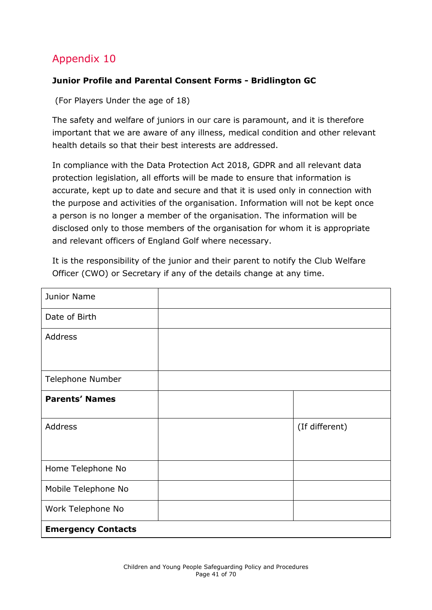#### <span id="page-40-0"></span>**Junior Profile and Parental Consent Forms - Bridlington GC**

(For Players Under the age of 18)

The safety and welfare of juniors in our care is paramount, and it is therefore important that we are aware of any illness, medical condition and other relevant health details so that their best interests are addressed.

In compliance with the Data Protection Act 2018, GDPR and all relevant data protection legislation, all efforts will be made to ensure that information is accurate, kept up to date and secure and that it is used only in connection with the purpose and activities of the organisation. Information will not be kept once a person is no longer a member of the organisation. The information will be disclosed only to those members of the organisation for whom it is appropriate and relevant officers of England Golf where necessary.

It is the responsibility of the junior and their parent to notify the Club Welfare Officer (CWO) or Secretary if any of the details change at any time.

| Junior Name               |                |
|---------------------------|----------------|
| Date of Birth             |                |
| <b>Address</b>            |                |
|                           |                |
| Telephone Number          |                |
| <b>Parents' Names</b>     |                |
| Address                   | (If different) |
|                           |                |
| Home Telephone No         |                |
| Mobile Telephone No       |                |
| Work Telephone No         |                |
| <b>Emergency Contacts</b> |                |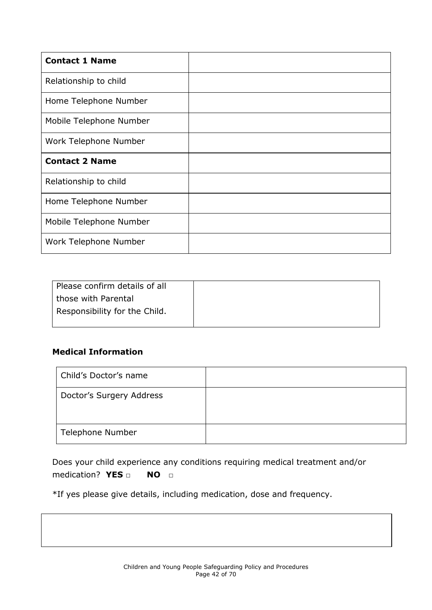| <b>Contact 1 Name</b>   |  |
|-------------------------|--|
| Relationship to child   |  |
| Home Telephone Number   |  |
| Mobile Telephone Number |  |
| Work Telephone Number   |  |
| <b>Contact 2 Name</b>   |  |
| Relationship to child   |  |
| Home Telephone Number   |  |
| Mobile Telephone Number |  |
| Work Telephone Number   |  |

| Please confirm details of all |  |
|-------------------------------|--|
| those with Parental           |  |
| Responsibility for the Child. |  |
|                               |  |

#### **Medical Information**

| Child's Doctor's name    |  |
|--------------------------|--|
| Doctor's Surgery Address |  |
| Telephone Number         |  |

Does your child experience any conditions requiring medical treatment and/or medication? **YES □ NO □**

\*If yes please give details, including medication, dose and frequency.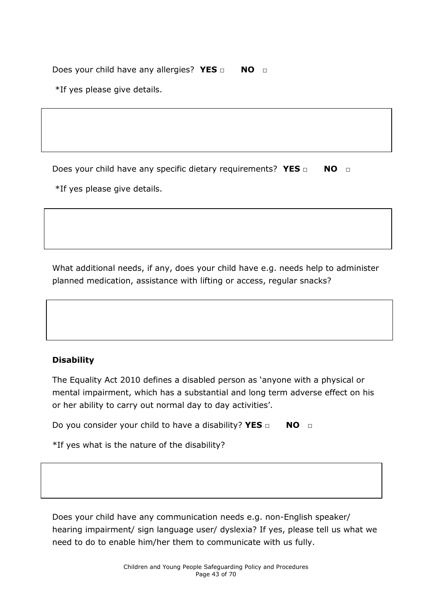Does your child have any allergies? **YES** □ **NO** □

\*If yes please give details.

Does your child have any specific dietary requirements? YES □ NO □ \*If yes please give details.

What additional needs, if any, does your child have e.g. needs help to administer planned medication, assistance with lifting or access, regular snacks?



#### **Disability**

The Equality Act 2010 defines a disabled person as 'anyone with a physical or mental impairment, which has a substantial and long term adverse effect on his or her ability to carry out normal day to day activities'.

Do you consider your child to have a disability? **YES □ NO □**

\*If yes what is the nature of the disability?

Does your child have any communication needs e.g. non-English speaker/ hearing impairment/ sign language user/ dyslexia? If yes, please tell us what we need to do to enable him/her them to communicate with us fully.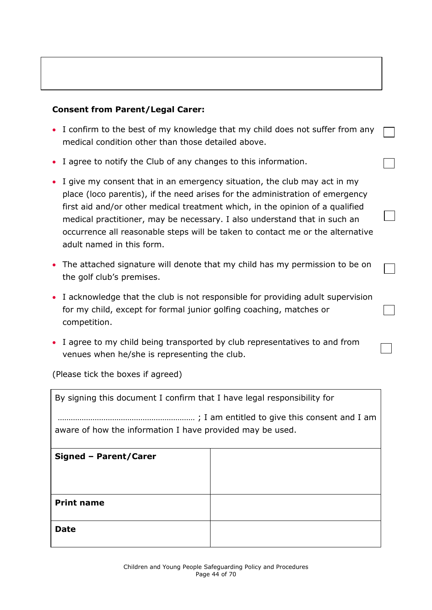#### **Consent from Parent/Legal Carer:**

- I confirm to the best of my knowledge that my child does not suffer from any medical condition other than those detailed above.
- I agree to notify the Club of any changes to this information.
- I give my consent that in an emergency situation, the club may act in my place (loco parentis), if the need arises for the administration of emergency first aid and/or other medical treatment which, in the opinion of a qualified medical practitioner, may be necessary. I also understand that in such an occurrence all reasonable steps will be taken to contact me or the alternative adult named in this form.
- The attached signature will denote that my child has my permission to be on the golf club's premises.
- I acknowledge that the club is not responsible for providing adult supervision for my child, except for formal junior golfing coaching, matches or competition.
- I agree to my child being transported by club representatives to and from venues when he/she is representing the club.

(Please tick the boxes if agreed)

| By signing this document I confirm that I have legal responsibility for |  |  |  |  |
|-------------------------------------------------------------------------|--|--|--|--|
| aware of how the information I have provided may be used.               |  |  |  |  |
| Signed - Parent/Carer                                                   |  |  |  |  |
|                                                                         |  |  |  |  |
| <b>Print name</b>                                                       |  |  |  |  |
| <b>Date</b>                                                             |  |  |  |  |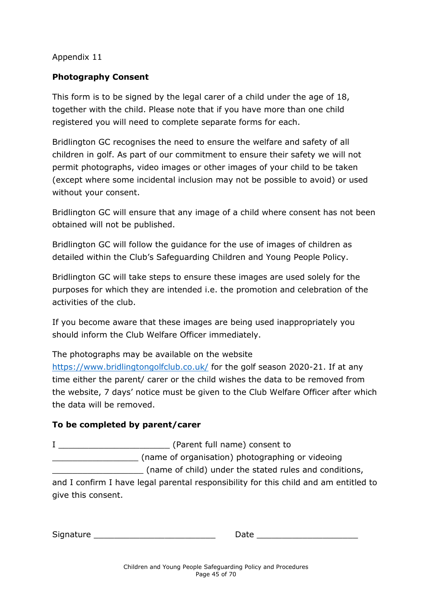#### <span id="page-44-0"></span>**Photography Consent**

This form is to be signed by the legal carer of a child under the age of 18, together with the child. Please note that if you have more than one child registered you will need to complete separate forms for each.

Bridlington GC recognises the need to ensure the welfare and safety of all children in golf. As part of our commitment to ensure their safety we will not permit photographs, video images or other images of your child to be taken (except where some incidental inclusion may not be possible to avoid) or used without your consent.

Bridlington GC will ensure that any image of a child where consent has not been obtained will not be published.

Bridlington GC will follow the guidance for the use of images of children as detailed within the Club's Safeguarding Children and Young People Policy.

Bridlington GC will take steps to ensure these images are used solely for the purposes for which they are intended i.e. the promotion and celebration of the activities of the club.

If you become aware that these images are being used inappropriately you should inform the Club Welfare Officer immediately.

The photographs may be available on the website <https://www.bridlingtongolfclub.co.uk/> for the golf season 2020-21. If at any time either the parent/ carer or the child wishes the data to be removed from the website, 7 days' notice must be given to the Club Welfare Officer after which the data will be removed.

#### **To be completed by parent/carer**

I <del>conserve and all conserve and all conserved and all conserved and all conserved and all conserved and all conserved and all conserved and all conserved and all conserved and all conserved and all conserved and all conse</del>

\_\_\_\_\_\_\_\_\_\_\_\_\_\_\_\_\_ (name of organisation) photographing or videoing \_\_\_\_\_\_\_\_\_\_\_\_\_\_\_\_\_\_ (name of child) under the stated rules and conditions, and I confirm I have legal parental responsibility for this child and am entitled to give this consent.

| <b>.</b><br>$\sim$ $\sim$ $\sim$<br>510 | $\sim$ |  |
|-----------------------------------------|--------|--|
|                                         |        |  |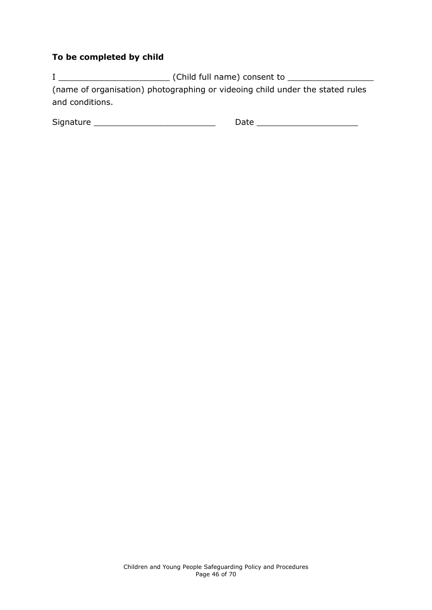#### **To be completed by child**

I \_\_\_\_\_\_\_\_\_\_\_\_\_\_\_\_\_\_\_\_\_\_ (Child full name) consent to \_\_\_\_\_\_\_\_\_\_\_\_\_\_\_\_\_ (name of organisation) photographing or videoing child under the stated rules and conditions.

<span id="page-45-0"></span>

| Signat<br>. | __ |
|-------------|----|
|-------------|----|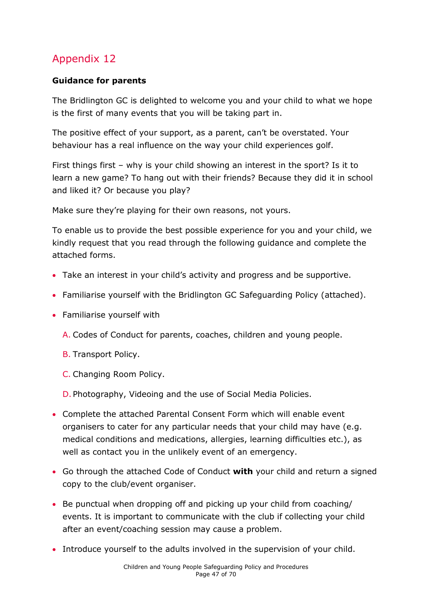#### **Guidance for parents**

The Bridlington GC is delighted to welcome you and your child to what we hope is the first of many events that you will be taking part in.

The positive effect of your support, as a parent, can't be overstated. Your behaviour has a real influence on the way your child experiences golf.

First things first – why is your child showing an interest in the sport? Is it to learn a new game? To hang out with their friends? Because they did it in school and liked it? Or because you play?

Make sure they're playing for their own reasons, not yours.

To enable us to provide the best possible experience for you and your child, we kindly request that you read through the following guidance and complete the attached forms.

- Take an interest in your child's activity and progress and be supportive.
- Familiarise yourself with the Bridlington GC Safeguarding Policy (attached).
- Familiarise yourself with
	- A. Codes of Conduct for parents, coaches, children and young people.
	- B. Transport Policy.
	- C. Changing Room Policy.

D. Photography, Videoing and the use of Social Media Policies.

- Complete the attached Parental Consent Form which will enable event organisers to cater for any particular needs that your child may have (e.g. medical conditions and medications, allergies, learning difficulties etc.), as well as contact you in the unlikely event of an emergency.
- Go through the attached Code of Conduct **with** your child and return a signed copy to the club/event organiser.
- Be punctual when dropping off and picking up your child from coaching/ events. It is important to communicate with the club if collecting your child after an event/coaching session may cause a problem.
- Introduce yourself to the adults involved in the supervision of your child.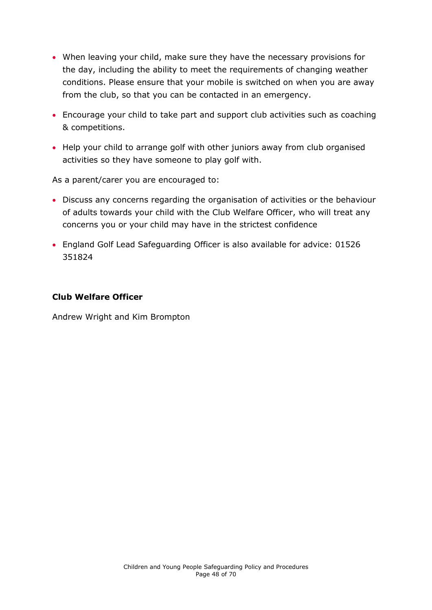- When leaving your child, make sure they have the necessary provisions for the day, including the ability to meet the requirements of changing weather conditions. Please ensure that your mobile is switched on when you are away from the club, so that you can be contacted in an emergency.
- Encourage your child to take part and support club activities such as coaching & competitions.
- Help your child to arrange golf with other juniors away from club organised activities so they have someone to play golf with.

As a parent/carer you are encouraged to:

- Discuss any concerns regarding the organisation of activities or the behaviour of adults towards your child with the Club Welfare Officer, who will treat any concerns you or your child may have in the strictest confidence
- England Golf Lead Safeguarding Officer is also available for advice: 01526 351824

#### **Club Welfare Officer**

<span id="page-47-0"></span>Andrew Wright and Kim Brompton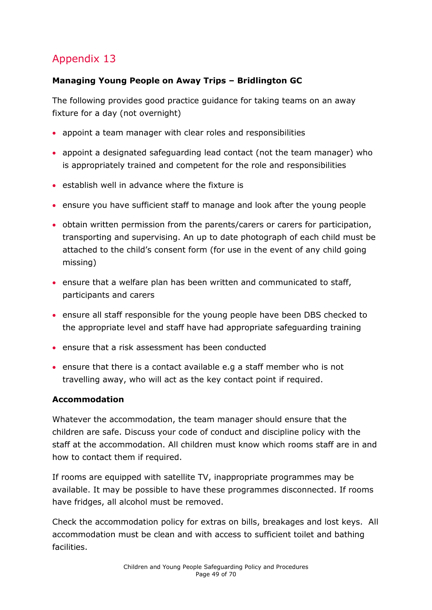#### **Managing Young People on Away Trips – Bridlington GC**

The following provides good practice guidance for taking teams on an away fixture for a day (not overnight)

- appoint a team manager with clear roles and responsibilities
- appoint a designated safeguarding lead contact (not the team manager) who is appropriately trained and competent for the role and responsibilities
- establish well in advance where the fixture is
- ensure you have sufficient staff to manage and look after the young people
- obtain written permission from the parents/carers or carers for participation, transporting and supervising. An up to date photograph of each child must be attached to the child's consent form (for use in the event of any child going missing)
- ensure that a welfare plan has been written and communicated to staff, participants and carers
- ensure all staff responsible for the young people have been DBS checked to the appropriate level and staff have had appropriate safeguarding training
- ensure that a risk assessment has been conducted
- ensure that there is a contact available e.g a staff member who is not travelling away, who will act as the key contact point if required.

#### **Accommodation**

Whatever the accommodation, the team manager should ensure that the children are safe. Discuss your code of conduct and discipline policy with the staff at the accommodation. All children must know which rooms staff are in and how to contact them if required.

If rooms are equipped with satellite TV, inappropriate programmes may be available. It may be possible to have these programmes disconnected. If rooms have fridges, all alcohol must be removed.

Check the accommodation policy for extras on bills, breakages and lost keys. All accommodation must be clean and with access to sufficient toilet and bathing facilities.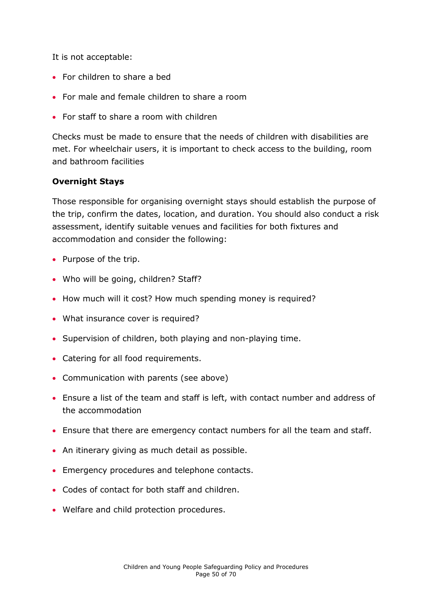It is not acceptable:

- For children to share a bed
- For male and female children to share a room
- For staff to share a room with children

Checks must be made to ensure that the needs of children with disabilities are met. For wheelchair users, it is important to check access to the building, room and bathroom facilities

#### **Overnight Stays**

Those responsible for organising overnight stays should establish the purpose of the trip, confirm the dates, location, and duration. You should also conduct a risk assessment, identify suitable venues and facilities for both fixtures and accommodation and consider the following:

- Purpose of the trip.
- Who will be going, children? Staff?
- How much will it cost? How much spending money is required?
- What insurance cover is required?
- Supervision of children, both playing and non-playing time.
- Catering for all food requirements.
- Communication with parents (see above)
- Ensure a list of the team and staff is left, with contact number and address of the accommodation
- Ensure that there are emergency contact numbers for all the team and staff.
- An itinerary giving as much detail as possible.
- Emergency procedures and telephone contacts.
- Codes of contact for both staff and children.
- <span id="page-49-0"></span>Welfare and child protection procedures.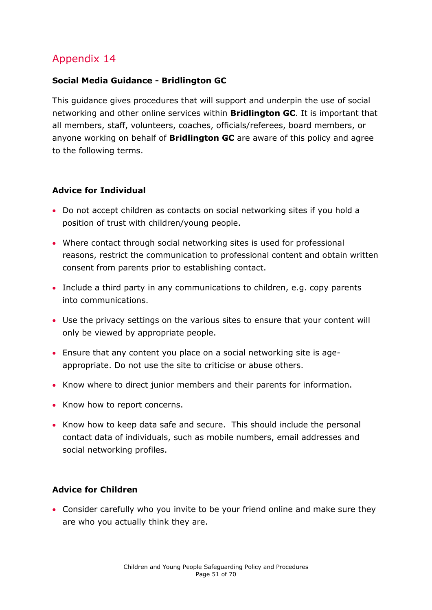#### **Social Media Guidance - Bridlington GC**

This guidance gives procedures that will support and underpin the use of social networking and other online services within **Bridlington GC**. It is important that all members, staff, volunteers, coaches, officials/referees, board members, or anyone working on behalf of **Bridlington GC** are aware of this policy and agree to the following terms.

#### **Advice for Individual**

- Do not accept children as contacts on social networking sites if you hold a position of trust with children/young people.
- Where contact through social networking sites is used for professional reasons, restrict the communication to professional content and obtain written consent from parents prior to establishing contact.
- Include a third party in any communications to children, e.g. copy parents into communications.
- Use the privacy settings on the various sites to ensure that your content will only be viewed by appropriate people.
- Ensure that any content you place on a social networking site is ageappropriate. Do not use the site to criticise or abuse others.
- Know where to direct junior members and their parents for information.
- Know how to report concerns.
- Know how to keep data safe and secure. This should include the personal contact data of individuals, such as mobile numbers, email addresses and social networking profiles.

#### **Advice for Children**

 Consider carefully who you invite to be your friend online and make sure they are who you actually think they are.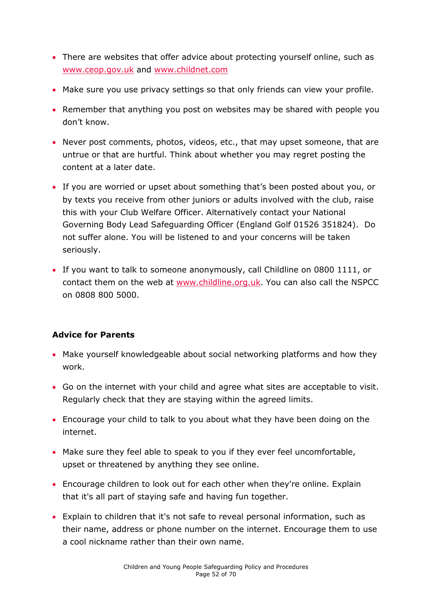- There are websites that offer advice about protecting yourself online, such as [www.ceop.gov.uk](http://www.ceop.gov.uk/) and [www.childnet.com](http://www.childnet.com/)
- Make sure you use privacy settings so that only friends can view your profile.
- Remember that anything you post on websites may be shared with people you don't know.
- Never post comments, photos, videos, etc., that may upset someone, that are untrue or that are hurtful. Think about whether you may regret posting the content at a later date.
- If you are worried or upset about something that's been posted about you, or by texts you receive from other juniors or adults involved with the club, raise this with your Club Welfare Officer. Alternatively contact your National Governing Body Lead Safeguarding Officer (England Golf 01526 351824). Do not suffer alone. You will be listened to and your concerns will be taken seriously.
- If you want to talk to someone anonymously, call Childline on 0800 1111, or contact them on the web at [www.childline.org.uk.](http://www.childline.org.uk/) You can also call the NSPCC on 0808 800 5000.

#### **Advice for Parents**

- Make yourself knowledgeable about social networking platforms and how they work.
- Go on the internet with your child and agree what sites are acceptable to visit. Regularly check that they are staying within the agreed limits.
- Encourage your child to talk to you about what they have been doing on the internet.
- Make sure they feel able to speak to you if they ever feel uncomfortable, upset or threatened by anything they see online.
- Encourage children to look out for each other when they're online. Explain that it's all part of staying safe and having fun together.
- Explain to children that it's not safe to reveal personal information, such as their name, address or phone number on the internet. Encourage them to use a cool nickname rather than their own name.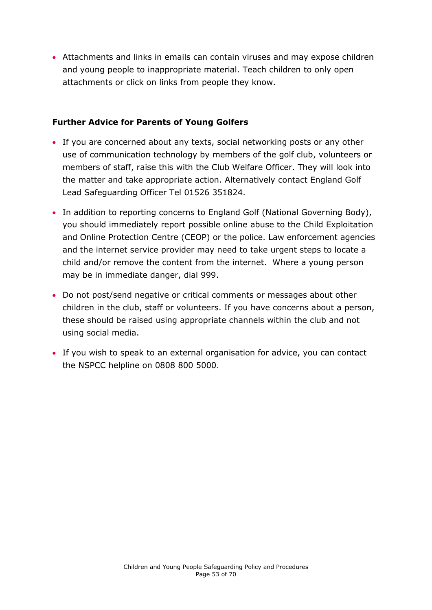Attachments and links in emails can contain viruses and may expose children and young people to inappropriate material. Teach children to only open attachments or click on links from people they know.

#### **Further Advice for Parents of Young Golfers**

- If you are concerned about any texts, social networking posts or any other use of communication technology by members of the golf club, volunteers or members of staff, raise this with the Club Welfare Officer. They will look into the matter and take appropriate action. Alternatively contact England Golf Lead Safeguarding Officer Tel 01526 351824.
- In addition to reporting concerns to England Golf (National Governing Body), you should immediately report possible online abuse to the Child Exploitation and Online Protection Centre (CEOP) or the police. Law enforcement agencies and the internet service provider may need to take urgent steps to locate a child and/or remove the content from the internet. Where a young person may be in immediate danger, dial 999.
- Do not post/send negative or critical comments or messages about other children in the club, staff or volunteers. If you have concerns about a person, these should be raised using appropriate channels within the club and not using social media.
- <span id="page-52-0"></span> If you wish to speak to an external organisation for advice, you can contact the NSPCC helpline on 0808 800 5000.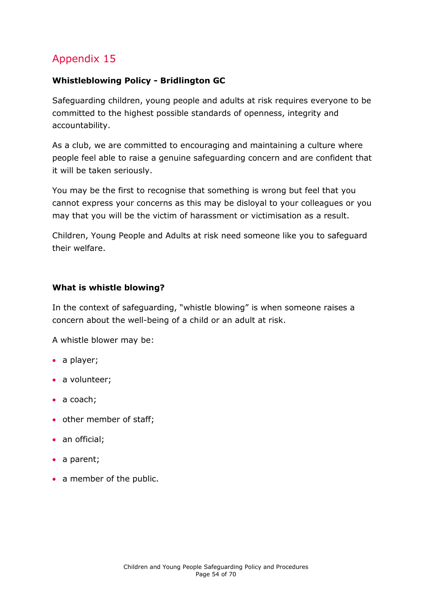#### **Whistleblowing Policy - Bridlington GC**

Safeguarding children, young people and adults at risk requires everyone to be committed to the highest possible standards of openness, integrity and accountability.

As a club, we are committed to encouraging and maintaining a culture where people feel able to raise a genuine safeguarding concern and are confident that it will be taken seriously.

You may be the first to recognise that something is wrong but feel that you cannot express your concerns as this may be disloyal to your colleagues or you may that you will be the victim of harassment or victimisation as a result.

Children, Young People and Adults at risk need someone like you to safeguard their welfare.

#### **What is whistle blowing?**

In the context of safeguarding, "whistle blowing" is when someone raises a concern about the well-being of a child or an adult at risk.

A whistle blower may be:

- a player;
- a volunteer;
- a coach;
- other member of staff;
- an official;
- a parent;
- a member of the public.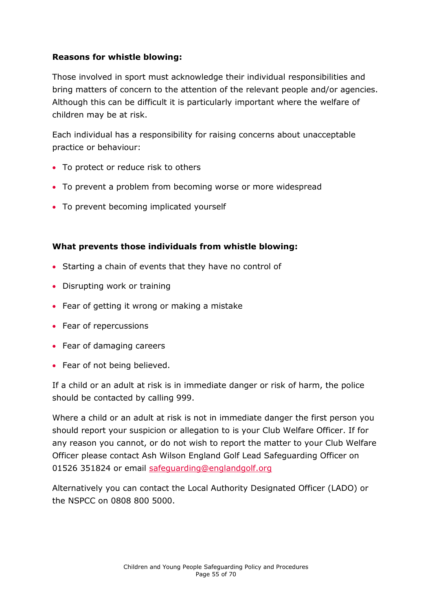#### **Reasons for whistle blowing:**

Those involved in sport must acknowledge their individual responsibilities and bring matters of concern to the attention of the relevant people and/or agencies. Although this can be difficult it is particularly important where the welfare of children may be at risk.

Each individual has a responsibility for raising concerns about unacceptable practice or behaviour:

- To protect or reduce risk to others
- To prevent a problem from becoming worse or more widespread
- To prevent becoming implicated yourself

#### **What prevents those individuals from whistle blowing:**

- Starting a chain of events that they have no control of
- Disrupting work or training
- Fear of getting it wrong or making a mistake
- Fear of repercussions
- Fear of damaging careers
- Fear of not being believed.

If a child or an adult at risk is in immediate danger or risk of harm, the police should be contacted by calling 999.

Where a child or an adult at risk is not in immediate danger the first person you should report your suspicion or allegation to is your Club Welfare Officer. If for any reason you cannot, or do not wish to report the matter to your Club Welfare Officer please contact Ash Wilson England Golf Lead Safeguarding Officer on 01526 351824 or email [safeguarding@englandgolf.org](mailto:safeguarding@englandgolf.org)

Alternatively you can contact the Local Authority Designated Officer (LADO) or the NSPCC on 0808 800 5000.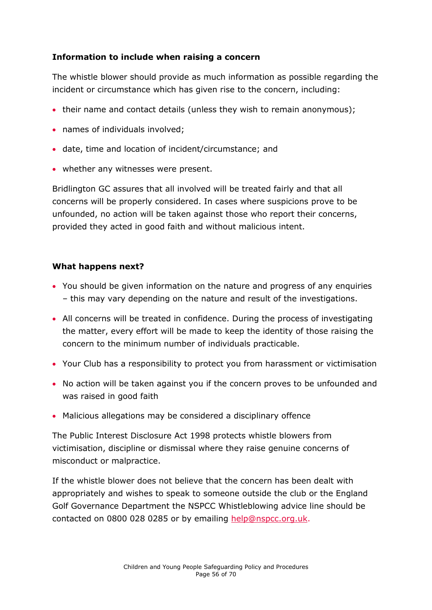#### **Information to include when raising a concern**

The whistle blower should provide as much information as possible regarding the incident or circumstance which has given rise to the concern, including:

- their name and contact details (unless they wish to remain anonymous);
- names of individuals involved;
- date, time and location of incident/circumstance; and
- whether any witnesses were present.

Bridlington GC assures that all involved will be treated fairly and that all concerns will be properly considered. In cases where suspicions prove to be unfounded, no action will be taken against those who report their concerns, provided they acted in good faith and without malicious intent.

#### **What happens next?**

- You should be given information on the nature and progress of any enquiries – this may vary depending on the nature and result of the investigations.
- All concerns will be treated in confidence. During the process of investigating the matter, every effort will be made to keep the identity of those raising the concern to the minimum number of individuals practicable.
- Your Club has a responsibility to protect you from harassment or victimisation
- No action will be taken against you if the concern proves to be unfounded and was raised in good faith
- Malicious allegations may be considered a disciplinary offence

The Public Interest Disclosure Act 1998 protects whistle blowers from victimisation, discipline or dismissal where they raise genuine concerns of misconduct or malpractice.

If the whistle blower does not believe that the concern has been dealt with appropriately and wishes to speak to someone outside the club or the England Golf Governance Department the NSPCC Whistleblowing advice line should be contacted on 0800 028 0285 or by emailing [help@nspcc.org.uk.](mailto:help@nspcc.org.uk)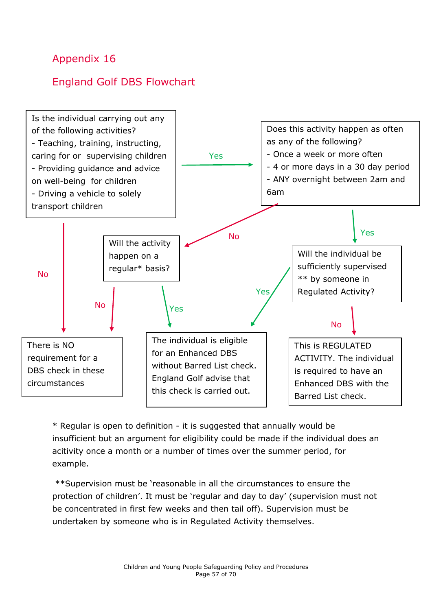## <span id="page-56-0"></span>England Golf DBS Flowchart



\* Regular is open to definition - it is suggested that annually would be insufficient but an argument for eligibility could be made if the individual does an acitivity once a month or a number of times over the summer period, for example.

\*\*Supervision must be 'reasonable in all the circumstances to ensure the protection of children'. It must be 'regular and day to day' (supervision must not be concentrated in first few weeks and then tail off). Supervision must be undertaken by someone who is in Regulated Activity themselves.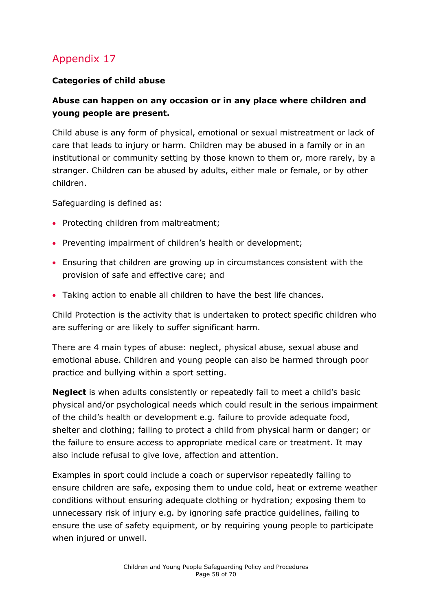#### <span id="page-57-0"></span>**Categories of child abuse**

#### **Abuse can happen on any occasion or in any place where children and young people are present.**

Child abuse is any form of physical, emotional or sexual mistreatment or lack of care that leads to injury or harm. Children may be abused in a family or in an institutional or community setting by those known to them or, more rarely, by a stranger. Children can be abused by adults, either male or female, or by other children.

Safeguarding is defined as:

- Protecting children from maltreatment;
- Preventing impairment of children's health or development;
- Ensuring that children are growing up in circumstances consistent with the provision of safe and effective care; and
- Taking action to enable all children to have the best life chances.

Child Protection is the activity that is undertaken to protect specific children who are suffering or are likely to suffer significant harm.

There are 4 main types of abuse: neglect, physical abuse, sexual abuse and emotional abuse. Children and young people can also be harmed through poor practice and bullying within a sport setting.

**Neglect** is when adults consistently or repeatedly fail to meet a child's basic physical and/or psychological needs which could result in the serious impairment of the child's health or development e.g. failure to provide adequate food, shelter and clothing; failing to protect a child from physical harm or danger; or the failure to ensure access to appropriate medical care or treatment. It may also include refusal to give love, affection and attention.

Examples in sport could include a coach or supervisor repeatedly failing to ensure children are safe, exposing them to undue cold, heat or extreme weather conditions without ensuring adequate clothing or hydration; exposing them to unnecessary risk of injury e.g. by ignoring safe practice guidelines, failing to ensure the use of safety equipment, or by requiring young people to participate when injured or unwell.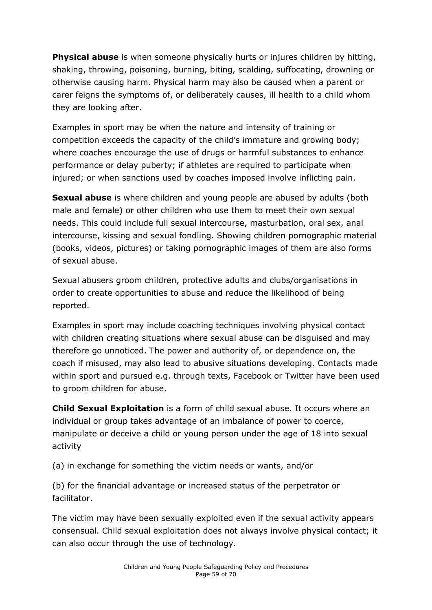**Physical abuse** is when someone physically hurts or injures children by hitting, shaking, throwing, poisoning, burning, biting, scalding, suffocating, drowning or otherwise causing harm. Physical harm may also be caused when a parent or carer feigns the symptoms of, or deliberately causes, ill health to a child whom they are looking after.

Examples in sport may be when the nature and intensity of training or competition exceeds the capacity of the child's immature and growing body; where coaches encourage the use of drugs or harmful substances to enhance performance or delay puberty; if athletes are required to participate when injured; or when sanctions used by coaches imposed involve inflicting pain.

**Sexual abuse** is where children and young people are abused by adults (both male and female) or other children who use them to meet their own sexual needs. This could include full sexual intercourse, masturbation, oral sex, anal intercourse, kissing and sexual fondling. Showing children pornographic material (books, videos, pictures) or taking pornographic images of them are also forms of sexual abuse.

Sexual abusers groom children, protective adults and clubs/organisations in order to create opportunities to abuse and reduce the likelihood of being reported.

Examples in sport may include coaching techniques involving physical contact with children creating situations where sexual abuse can be disguised and may therefore go unnoticed. The power and authority of, or dependence on, the coach if misused, may also lead to abusive situations developing. Contacts made within sport and pursued e.g. through texts, Facebook or Twitter have been used to groom children for abuse.

**Child Sexual Exploitation** is a form of child sexual abuse. It occurs where an individual or group takes advantage of an imbalance of power to coerce, manipulate or deceive a child or young person under the age of 18 into sexual activity

(a) in exchange for something the victim needs or wants, and/or

(b) for the financial advantage or increased status of the perpetrator or facilitator.

The victim may have been sexually exploited even if the sexual activity appears consensual. Child sexual exploitation does not always involve physical contact; it can also occur through the use of technology.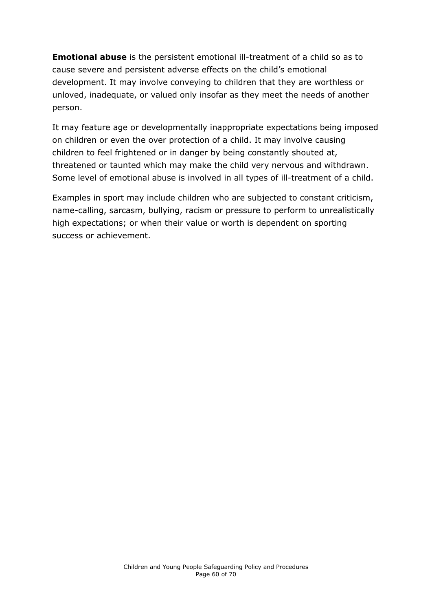**Emotional abuse** is the persistent emotional ill-treatment of a child so as to cause severe and persistent adverse effects on the child's emotional development. It may involve conveying to children that they are worthless or unloved, inadequate, or valued only insofar as they meet the needs of another person.

It may feature age or developmentally inappropriate expectations being imposed on children or even the over protection of a child. It may involve causing children to feel frightened or in danger by being constantly shouted at, threatened or taunted which may make the child very nervous and withdrawn. Some level of emotional abuse is involved in all types of ill-treatment of a child.

Examples in sport may include children who are subjected to constant criticism, name-calling, sarcasm, bullying, racism or pressure to perform to unrealistically high expectations; or when their value or worth is dependent on sporting success or achievement.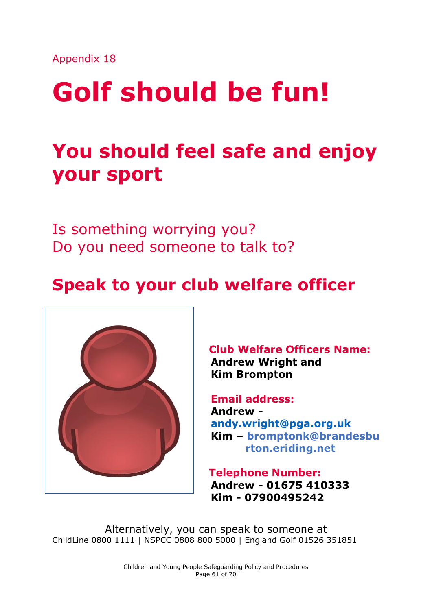# **Golf should be fun!**

# **You should feel safe and enjoy your sport**

Is something worrying you? Do you need someone to talk to?

# **Speak to your club welfare officer**



**Club Welfare Officers Name: Andrew Wright and Kim Brompton**

 **Email address: Andrew [andy.wright@pga.org.uk](mailto:andy.wright@pga.org.uk) Kim – bromptonk@brandesbu rton.eriding.net**

**Telephone Number: Andrew - 01675 410333 Kim - 07900495242**

Alternatively, you can speak to someone at ChildLine 0800 1111 | NSPCC 0808 800 5000 | England Golf 01526 351851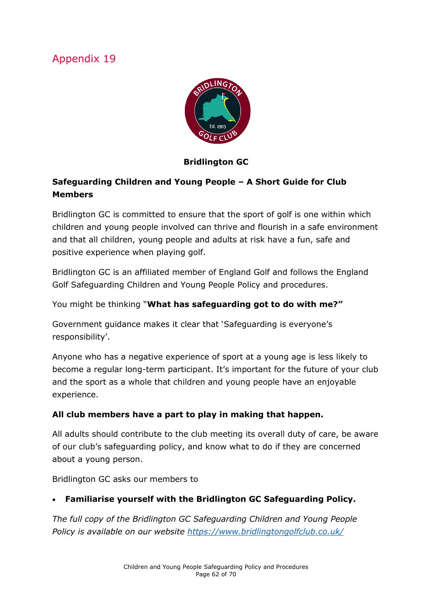

#### **Bridlington GC**

#### <span id="page-61-0"></span>**Safeguarding Children and Young People – A Short Guide for Club Members**

Bridlington GC is committed to ensure that the sport of golf is one within which children and young people involved can thrive and flourish in a safe environment and that all children, young people and adults at risk have a fun, safe and positive experience when playing golf.

Bridlington GC is an affiliated member of England Golf and follows the England Golf Safeguarding Children and Young People Policy and procedures.

You might be thinking "**What has safeguarding got to do with me?"**

Government guidance makes it clear that 'Safeguarding is everyone's responsibility'.

Anyone who has a negative experience of sport at a young age is less likely to become a regular long-term participant. It's important for the future of your club and the sport as a whole that children and young people have an enjoyable experience.

#### **All club members have a part to play in making that happen.**

All adults should contribute to the club meeting its overall duty of care, be aware of our club's safeguarding policy, and know what to do if they are concerned about a young person.

Bridlington GC asks our members to

#### **Familiarise yourself with the Bridlington GC Safeguarding Policy.**

*The full copy of the Bridlington GC Safeguarding Children and Young People Policy is available on our website<https://www.bridlingtongolfclub.co.uk/>*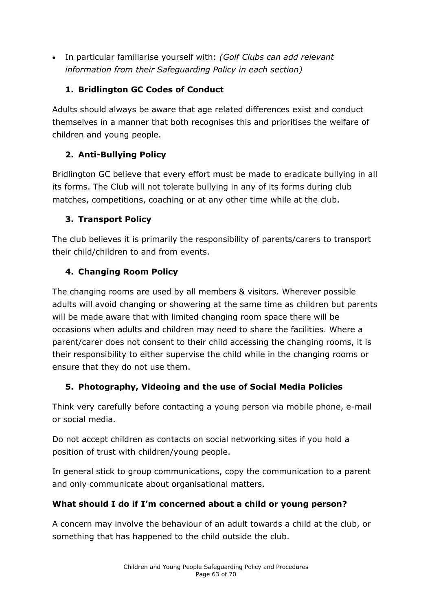In particular familiarise yourself with: *(Golf Clubs can add relevant information from their Safeguarding Policy in each section)*

#### **1. Bridlington GC Codes of Conduct**

Adults should always be aware that age related differences exist and conduct themselves in a manner that both recognises this and prioritises the welfare of children and young people.

#### **2. Anti-Bullying Policy**

Bridlington GC believe that every effort must be made to eradicate bullying in all its forms. The Club will not tolerate bullying in any of its forms during club matches, competitions, coaching or at any other time while at the club.

#### **3. Transport Policy**

The club believes it is primarily the responsibility of parents/carers to transport their child/children to and from events.

#### **4. Changing Room Policy**

The changing rooms are used by all members & visitors. Wherever possible adults will avoid changing or showering at the same time as children but parents will be made aware that with limited changing room space there will be occasions when adults and children may need to share the facilities. Where a parent/carer does not consent to their child accessing the changing rooms, it is their responsibility to either supervise the child while in the changing rooms or ensure that they do not use them.

#### **5. Photography, Videoing and the use of Social Media Policies**

Think very carefully before contacting a young person via mobile phone, e-mail or social media.

Do not accept children as contacts on social networking sites if you hold a position of trust with children/young people.

In general stick to group communications, copy the communication to a parent and only communicate about organisational matters.

#### **What should I do if I'm concerned about a child or young person?**

A concern may involve the behaviour of an adult towards a child at the club, or something that has happened to the child outside the club.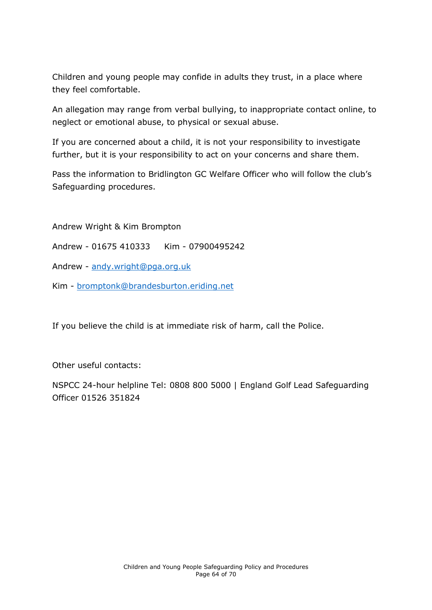Children and young people may confide in adults they trust, in a place where they feel comfortable.

An allegation may range from verbal bullying, to inappropriate contact online, to neglect or emotional abuse, to physical or sexual abuse.

If you are concerned about a child, it is not your responsibility to investigate further, but it is your responsibility to act on your concerns and share them.

Pass the information to Bridlington GC Welfare Officer who will follow the club's Safeguarding procedures.

Andrew Wright & Kim Brompton

- Andrew 01675 410333 Kim 07900495242
- Andrew [andy.wright@pga.org.uk](mailto:andy.wright@pga.org.uk)
- Kim [bromptonk@brandesburton.eriding.net](mailto:bromptonk@brandesburton.eriding.net)

If you believe the child is at immediate risk of harm, call the Police.

Other useful contacts:

NSPCC 24-hour helpline Tel: 0808 800 5000 | England Golf Lead Safeguarding Officer 01526 351824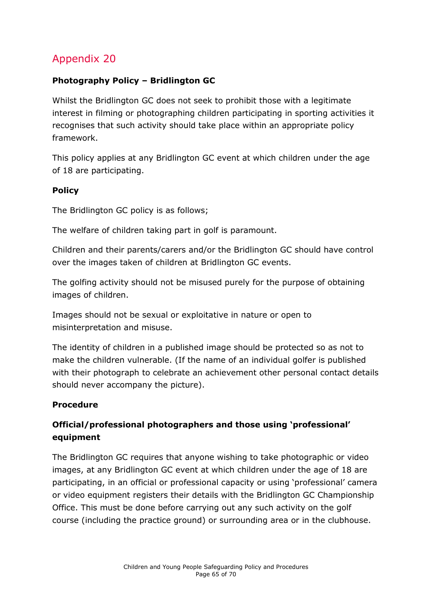#### <span id="page-64-0"></span>**Photography Policy – Bridlington GC**

Whilst the Bridlington GC does not seek to prohibit those with a legitimate interest in filming or photographing children participating in sporting activities it recognises that such activity should take place within an appropriate policy framework.

This policy applies at any Bridlington GC event at which children under the age of 18 are participating.

#### **Policy**

The Bridlington GC policy is as follows;

The welfare of children taking part in golf is paramount.

Children and their parents/carers and/or the Bridlington GC should have control over the images taken of children at Bridlington GC events.

The golfing activity should not be misused purely for the purpose of obtaining images of children.

Images should not be sexual or exploitative in nature or open to misinterpretation and misuse.

The identity of children in a published image should be protected so as not to make the children vulnerable. (If the name of an individual golfer is published with their photograph to celebrate an achievement other personal contact details should never accompany the picture).

#### **Procedure**

#### **Official/professional photographers and those using 'professional' equipment**

The Bridlington GC requires that anyone wishing to take photographic or video images, at any Bridlington GC event at which children under the age of 18 are participating, in an official or professional capacity or using 'professional' camera or video equipment registers their details with the Bridlington GC Championship Office. This must be done before carrying out any such activity on the golf course (including the practice ground) or surrounding area or in the clubhouse.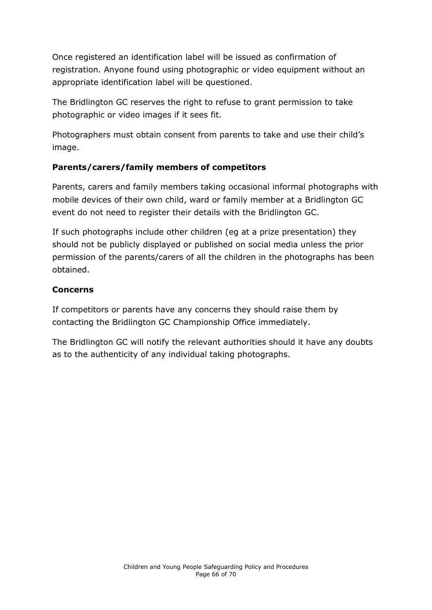Once registered an identification label will be issued as confirmation of registration. Anyone found using photographic or video equipment without an appropriate identification label will be questioned.

The Bridlington GC reserves the right to refuse to grant permission to take photographic or video images if it sees fit.

Photographers must obtain consent from parents to take and use their child's image.

#### **Parents/carers/family members of competitors**

Parents, carers and family members taking occasional informal photographs with mobile devices of their own child, ward or family member at a Bridlington GC event do not need to register their details with the Bridlington GC.

If such photographs include other children (eg at a prize presentation) they should not be publicly displayed or published on social media unless the prior permission of the parents/carers of all the children in the photographs has been obtained.

#### **Concerns**

If competitors or parents have any concerns they should raise them by contacting the Bridlington GC Championship Office immediately.

The Bridlington GC will notify the relevant authorities should it have any doubts as to the authenticity of any individual taking photographs.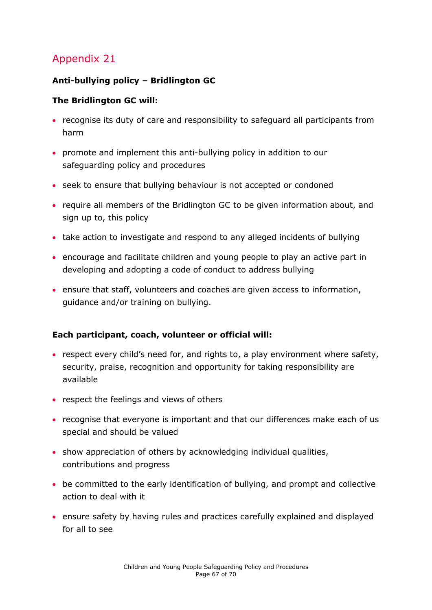#### <span id="page-66-0"></span>**Anti-bullying policy – Bridlington GC**

#### **The Bridlington GC will:**

- recognise its duty of care and responsibility to safeguard all participants from harm
- promote and implement this anti-bullying policy in addition to our safeguarding policy and procedures
- seek to ensure that bullying behaviour is not accepted or condoned
- require all members of the Bridlington GC to be given information about, and sign up to, this policy
- take action to investigate and respond to any alleged incidents of bullying
- encourage and facilitate children and young people to play an active part in developing and adopting a code of conduct to address bullying
- ensure that staff, volunteers and coaches are given access to information, guidance and/or training on bullying.

#### **Each participant, coach, volunteer or official will:**

- respect every child's need for, and rights to, a play environment where safety, security, praise, recognition and opportunity for taking responsibility are available
- respect the feelings and views of others
- recognise that everyone is important and that our differences make each of us special and should be valued
- show appreciation of others by acknowledging individual qualities, contributions and progress
- be committed to the early identification of bullying, and prompt and collective action to deal with it
- ensure safety by having rules and practices carefully explained and displayed for all to see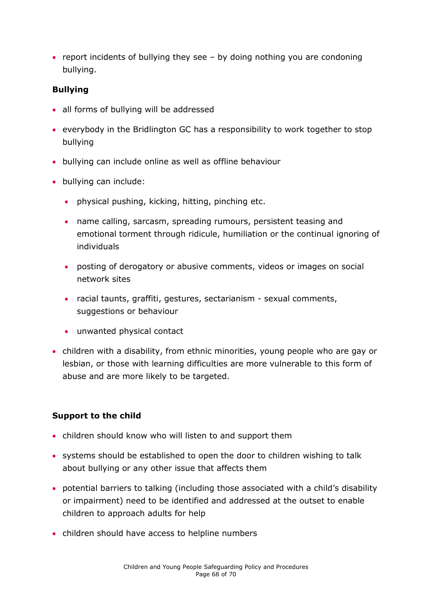• report incidents of bullying they see  $-$  by doing nothing you are condoning bullying.

#### **Bullying**

- all forms of bullying will be addressed
- everybody in the Bridlington GC has a responsibility to work together to stop bullying
- bullying can include online as well as offline behaviour
- bullying can include:
	- physical pushing, kicking, hitting, pinching etc.
	- name calling, sarcasm, spreading rumours, persistent teasing and emotional torment through ridicule, humiliation or the continual ignoring of individuals
	- posting of derogatory or abusive comments, videos or images on social network sites
	- racial taunts, graffiti, gestures, sectarianism sexual comments, suggestions or behaviour
	- unwanted physical contact
- children with a disability, from ethnic minorities, young people who are gay or lesbian, or those with learning difficulties are more vulnerable to this form of abuse and are more likely to be targeted.

#### **Support to the child**

- children should know who will listen to and support them
- systems should be established to open the door to children wishing to talk about bullying or any other issue that affects them
- potential barriers to talking (including those associated with a child's disability or impairment) need to be identified and addressed at the outset to enable children to approach adults for help
- children should have access to helpline numbers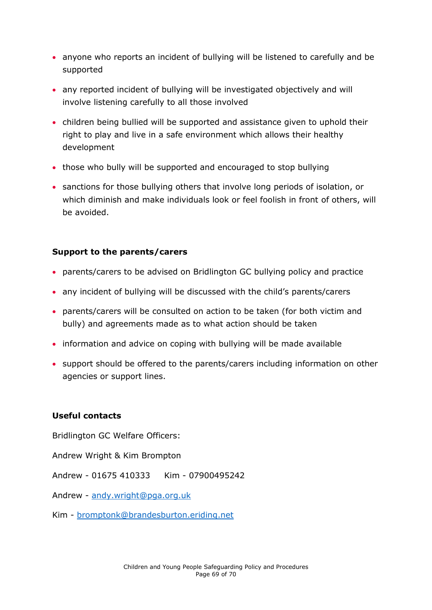- anyone who reports an incident of bullying will be listened to carefully and be supported
- any reported incident of bullying will be investigated objectively and will involve listening carefully to all those involved
- children being bullied will be supported and assistance given to uphold their right to play and live in a safe environment which allows their healthy development
- those who bully will be supported and encouraged to stop bullying
- sanctions for those bullying others that involve long periods of isolation, or which diminish and make individuals look or feel foolish in front of others, will be avoided.

#### **Support to the parents/carers**

- parents/carers to be advised on Bridlington GC bullying policy and practice
- any incident of bullying will be discussed with the child's parents/carers
- parents/carers will be consulted on action to be taken (for both victim and bully) and agreements made as to what action should be taken
- information and advice on coping with bullying will be made available
- support should be offered to the parents/carers including information on other agencies or support lines.

#### **Useful contacts**

Bridlington GC Welfare Officers:

Andrew Wright & Kim Brompton

Andrew - 01675 410333 Kim - 07900495242

Andrew - [andy.wright@pga.org.uk](mailto:andy.wright@pga.org.uk)

Kim - [bromptonk@brandesburton.eriding.net](mailto:bromptonk@brandesburton.eriding.net)